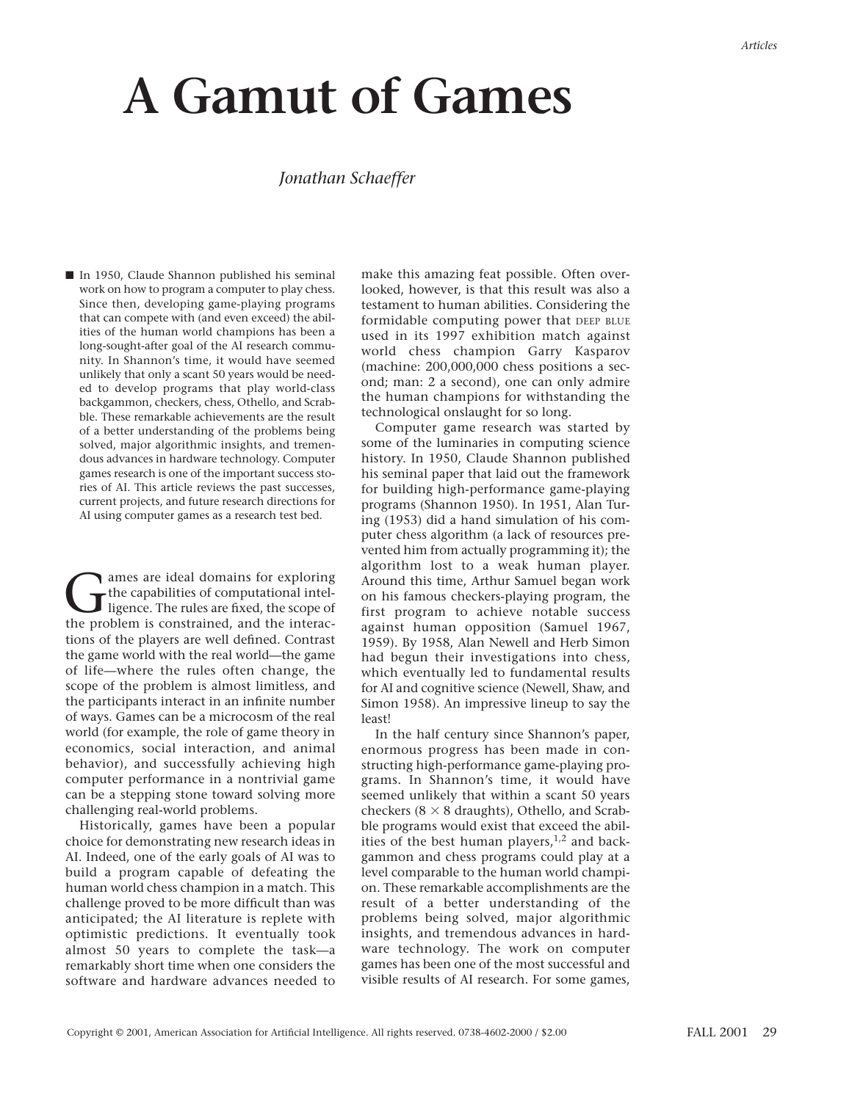# **A Gamut of Games**

# *Jonathan Schaeffer*

■ In 1950, Claude Shannon published his seminal work on how to program a computer to play chess. Since then, developing game-playing programs that can compete with (and even exceed) the abilities of the human world champions has been a long-sought-after goal of the AI research community. In Shannon's time, it would have seemed unlikely that only a scant 50 years would be needed to develop programs that play world-class backgammon, checkers, chess, Othello, and Scrabble. These remarkable achievements are the result of a better understanding of the problems being solved, major algorithmic insights, and tremendous advances in hardware technology. Computer games research is one of the important success stories of AI. This article reviews the past successes, current projects, and future research directions for AI using computer games as a research test bed.

The capabilities of computational intel-<br>ligence. The rules are fixed, the scope of<br>the problem is constrained, and the interacthe capabilities of computational intelligence. The rules are fixed, the scope of the problem is constrained, and the interactions of the players are well defined. Contrast the game world with the real world—the game of life—where the rules often change, the scope of the problem is almost limitless, and the participants interact in an infinite number of ways. Games can be a microcosm of the real world (for example, the role of game theory in economics, social interaction, and animal behavior), and successfully achieving high computer performance in a nontrivial game can be a stepping stone toward solving more challenging real-world problems.

Historically, games have been a popular choice for demonstrating new research ideas in AI. Indeed, one of the early goals of AI was to build a program capable of defeating the human world chess champion in a match. This challenge proved to be more difficult than was anticipated; the AI literature is replete with optimistic predictions. It eventually took almost 50 years to complete the task—a remarkably short time when one considers the software and hardware advances needed to

make this amazing feat possible. Often overlooked, however, is that this result was also a testament to human abilities. Considering the formidable computing power that DEEP BLUE used in its 1997 exhibition match against world chess champion Garry Kasparov (machine: 200,000,000 chess positions a second; man: 2 a second), one can only admire the human champions for withstanding the technological onslaught for so long.

Computer game research was started by some of the luminaries in computing science history. In 1950, Claude Shannon published his seminal paper that laid out the framework for building high-performance game-playing programs (Shannon 1950). In 1951, Alan Turing (1953) did a hand simulation of his computer chess algorithm (a lack of resources prevented him from actually programming it); the algorithm lost to a weak human player. Around this time, Arthur Samuel began work on his famous checkers-playing program, the first program to achieve notable success against human opposition (Samuel 1967, 1959). By 1958, Alan Newell and Herb Simon had begun their investigations into chess, which eventually led to fundamental results for AI and cognitive science (Newell, Shaw, and Simon 1958). An impressive lineup to say the least!

In the half century since Shannon's paper, enormous progress has been made in constructing high-performance game-playing programs. In Shannon's time, it would have seemed unlikely that within a scant 50 years checkers ( $8 \times 8$  draughts), Othello, and Scrabble programs would exist that exceed the abilities of the best human players, $1,2$  and backgammon and chess programs could play at a level comparable to the human world champion. These remarkable accomplishments are the result of a better understanding of the problems being solved, major algorithmic insights, and tremendous advances in hardware technology. The work on computer games has been one of the most successful and visible results of AI research. For some games,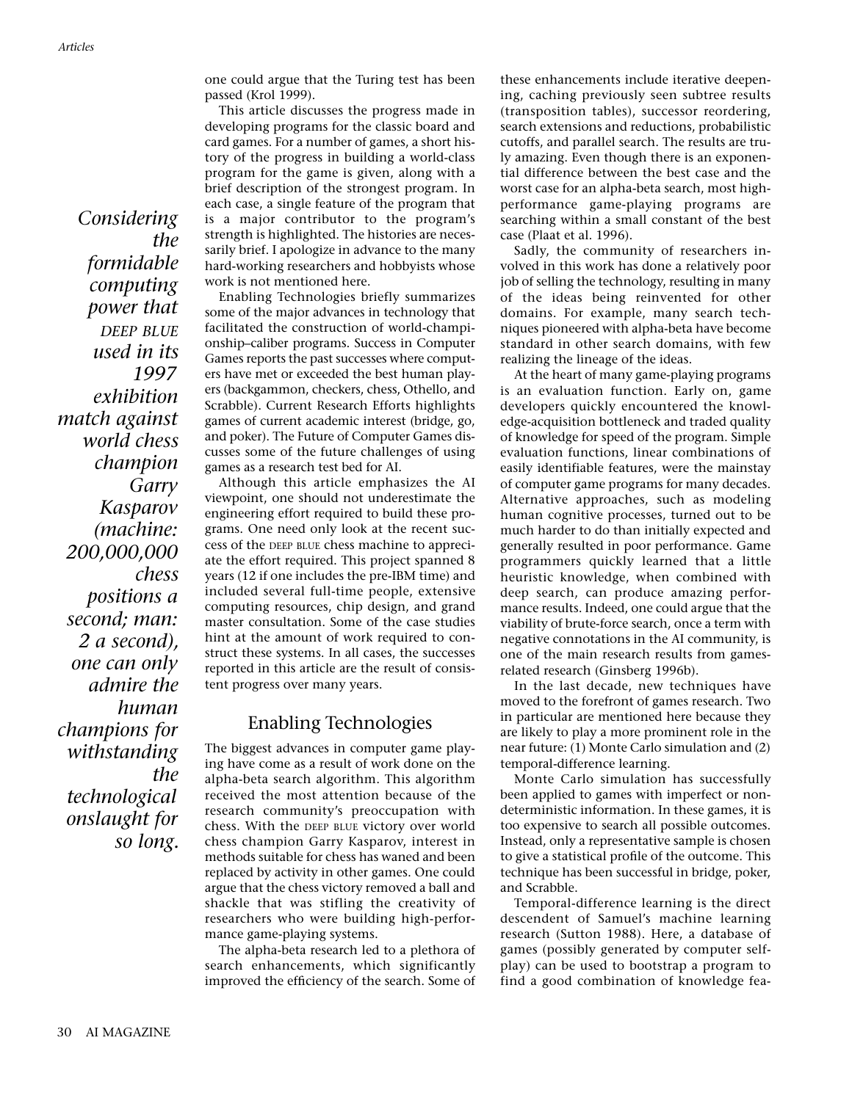one could argue that the Turing test has been passed (Krol 1999).

This article discusses the progress made in developing programs for the classic board and card games. For a number of games, a short history of the progress in building a world-class program for the game is given, along with a brief description of the strongest program. In each case, a single feature of the program that is a major contributor to the program's strength is highlighted. The histories are necessarily brief. I apologize in advance to the many hard-working researchers and hobbyists whose work is not mentioned here.

Enabling Technologies briefly summarizes some of the major advances in technology that facilitated the construction of world-championship–caliber programs. Success in Computer Games reports the past successes where computers have met or exceeded the best human players (backgammon, checkers, chess, Othello, and Scrabble). Current Research Efforts highlights games of current academic interest (bridge, go, and poker). The Future of Computer Games discusses some of the future challenges of using games as a research test bed for AI.

Although this article emphasizes the AI viewpoint, one should not underestimate the engineering effort required to build these programs. One need only look at the recent success of the DEEP BLUE chess machine to appreciate the effort required. This project spanned 8 years (12 if one includes the pre-IBM time) and included several full-time people, extensive computing resources, chip design, and grand master consultation. Some of the case studies hint at the amount of work required to construct these systems. In all cases, the successes reported in this article are the result of consistent progress over many years.

# Enabling Technologies

The biggest advances in computer game playing have come as a result of work done on the alpha-beta search algorithm. This algorithm received the most attention because of the research community's preoccupation with chess. With the DEEP BLUE victory over world chess champion Garry Kasparov, interest in methods suitable for chess has waned and been replaced by activity in other games. One could argue that the chess victory removed a ball and shackle that was stifling the creativity of researchers who were building high-performance game-playing systems.

The alpha-beta research led to a plethora of search enhancements, which significantly improved the efficiency of the search. Some of these enhancements include iterative deepening, caching previously seen subtree results (transposition tables), successor reordering, search extensions and reductions, probabilistic cutoffs, and parallel search. The results are truly amazing. Even though there is an exponential difference between the best case and the worst case for an alpha-beta search, most highperformance game-playing programs are searching within a small constant of the best case (Plaat et al. 1996).

Sadly, the community of researchers involved in this work has done a relatively poor job of selling the technology, resulting in many of the ideas being reinvented for other domains. For example, many search techniques pioneered with alpha-beta have become standard in other search domains, with few realizing the lineage of the ideas.

At the heart of many game-playing programs is an evaluation function. Early on, game developers quickly encountered the knowledge-acquisition bottleneck and traded quality of knowledge for speed of the program. Simple evaluation functions, linear combinations of easily identifiable features, were the mainstay of computer game programs for many decades. Alternative approaches, such as modeling human cognitive processes, turned out to be much harder to do than initially expected and generally resulted in poor performance. Game programmers quickly learned that a little heuristic knowledge, when combined with deep search, can produce amazing performance results. Indeed, one could argue that the viability of brute-force search, once a term with negative connotations in the AI community, is one of the main research results from gamesrelated research (Ginsberg 1996b).

In the last decade, new techniques have moved to the forefront of games research. Two in particular are mentioned here because they are likely to play a more prominent role in the near future: (1) Monte Carlo simulation and (2) temporal-difference learning.

Monte Carlo simulation has successfully been applied to games with imperfect or nondeterministic information. In these games, it is too expensive to search all possible outcomes. Instead, only a representative sample is chosen to give a statistical profile of the outcome. This technique has been successful in bridge, poker, and Scrabble.

Temporal-difference learning is the direct descendent of Samuel's machine learning research (Sutton 1988). Here, a database of games (possibly generated by computer selfplay) can be used to bootstrap a program to find a good combination of knowledge fea-

*Considering the formidable computing power that DEEP BLUE used in its 1997 exhibition match against world chess champion Garry Kasparov (machine: 200,000,000 chess positions a second; man: 2 a second), one can only admire the human champions for withstanding the technological onslaught for so long.*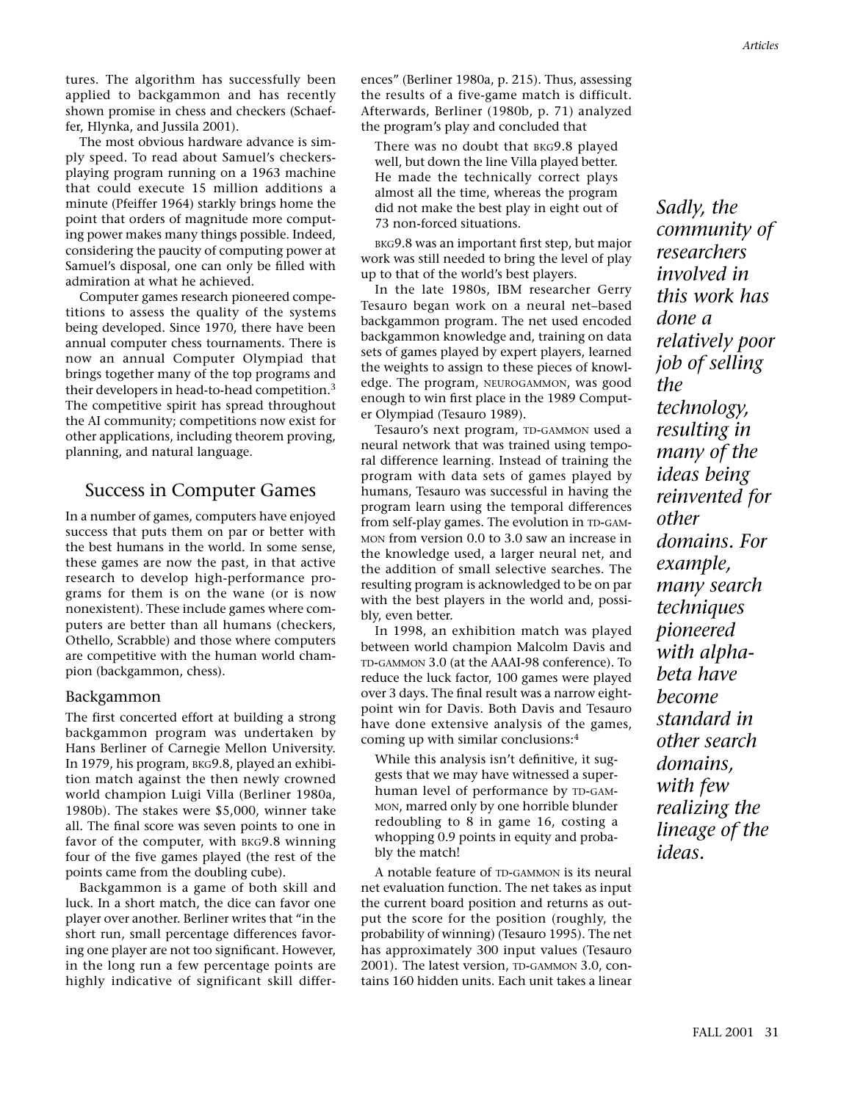tures. The algorithm has successfully been applied to backgammon and has recently shown promise in chess and checkers (Schaeffer, Hlynka, and Jussila 2001).

The most obvious hardware advance is simply speed. To read about Samuel's checkersplaying program running on a 1963 machine that could execute 15 million additions a minute (Pfeiffer 1964) starkly brings home the point that orders of magnitude more computing power makes many things possible. Indeed, considering the paucity of computing power at Samuel's disposal, one can only be filled with admiration at what he achieved.

Computer games research pioneered competitions to assess the quality of the systems being developed. Since 1970, there have been annual computer chess tournaments. There is now an annual Computer Olympiad that brings together many of the top programs and their developers in head-to-head competition.<sup>3</sup> The competitive spirit has spread throughout the AI community; competitions now exist for other applications, including theorem proving, planning, and natural language.

# Success in Computer Games

In a number of games, computers have enjoyed success that puts them on par or better with the best humans in the world. In some sense, these games are now the past, in that active research to develop high-performance programs for them is on the wane (or is now nonexistent). These include games where computers are better than all humans (checkers, Othello, Scrabble) and those where computers are competitive with the human world champion (backgammon, chess).

## Backgammon

The first concerted effort at building a strong backgammon program was undertaken by Hans Berliner of Carnegie Mellon University. In 1979, his program, BKG9.8, played an exhibition match against the then newly crowned world champion Luigi Villa (Berliner 1980a, 1980b). The stakes were \$5,000, winner take all. The final score was seven points to one in favor of the computer, with BKG9.8 winning four of the five games played (the rest of the points came from the doubling cube).

Backgammon is a game of both skill and luck. In a short match, the dice can favor one player over another. Berliner writes that "in the short run, small percentage differences favoring one player are not too significant. However, in the long run a few percentage points are highly indicative of significant skill differences" (Berliner 1980a, p. 215). Thus, assessing the results of a five-game match is difficult. Afterwards, Berliner (1980b, p. 71) analyzed the program's play and concluded that

There was no doubt that BKG9.8 played well, but down the line Villa played better. He made the technically correct plays almost all the time, whereas the program did not make the best play in eight out of 73 non-forced situations.

BKG9.8 was an important first step, but major work was still needed to bring the level of play up to that of the world's best players.

In the late 1980s, IBM researcher Gerry Tesauro began work on a neural net–based backgammon program. The net used encoded backgammon knowledge and, training on data sets of games played by expert players, learned the weights to assign to these pieces of knowledge. The program, NEUROGAMMON, was good enough to win first place in the 1989 Computer Olympiad (Tesauro 1989).

Tesauro's next program, TD-GAMMON used a neural network that was trained using temporal difference learning. Instead of training the program with data sets of games played by humans, Tesauro was successful in having the program learn using the temporal differences from self-play games. The evolution in TD-GAM-MON from version 0.0 to 3.0 saw an increase in the knowledge used, a larger neural net, and the addition of small selective searches. The resulting program is acknowledged to be on par with the best players in the world and, possibly, even better.

In 1998, an exhibition match was played between world champion Malcolm Davis and TD-GAMMON 3.0 (at the AAAI-98 conference). To reduce the luck factor, 100 games were played over 3 days. The final result was a narrow eightpoint win for Davis. Both Davis and Tesauro have done extensive analysis of the games, coming up with similar conclusions:4

While this analysis isn't definitive, it suggests that we may have witnessed a superhuman level of performance by TD-GAM-MON, marred only by one horrible blunder redoubling to 8 in game 16, costing a whopping 0.9 points in equity and probably the match!

A notable feature of TD-GAMMON is its neural net evaluation function. The net takes as input the current board position and returns as output the score for the position (roughly, the probability of winning) (Tesauro 1995). The net has approximately 300 input values (Tesauro 2001). The latest version, TD-GAMMON 3.0, contains 160 hidden units. Each unit takes a linear

*Sadly, the community of researchers involved in this work has done a relatively poor job of selling the technology, resulting in many of the ideas being reinvented for other domains. For example, many search techniques pioneered with alphabeta have become standard in other search domains, with few realizing the lineage of the ideas.*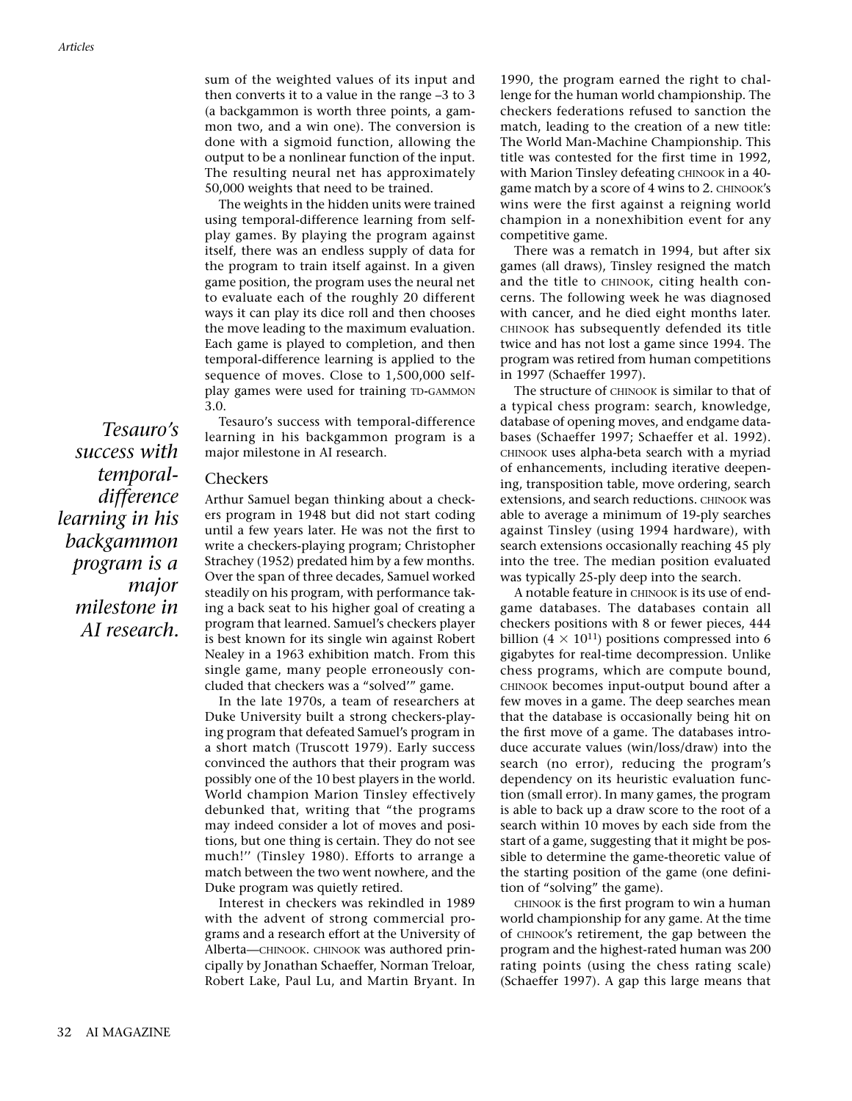sum of the weighted values of its input and then converts it to a value in the range –3 to 3 (a backgammon is worth three points, a gammon two, and a win one). The conversion is done with a sigmoid function, allowing the output to be a nonlinear function of the input. The resulting neural net has approximately 50,000 weights that need to be trained.

The weights in the hidden units were trained using temporal-difference learning from selfplay games. By playing the program against itself, there was an endless supply of data for the program to train itself against. In a given game position, the program uses the neural net to evaluate each of the roughly 20 different ways it can play its dice roll and then chooses the move leading to the maximum evaluation. Each game is played to completion, and then temporal-difference learning is applied to the sequence of moves. Close to 1,500,000 selfplay games were used for training TD-GAMMON 3.0.

Tesauro's success with temporal-difference learning in his backgammon program is a major milestone in AI research.

# Checkers

Arthur Samuel began thinking about a checkers program in 1948 but did not start coding until a few years later. He was not the first to write a checkers-playing program; Christopher Strachey (1952) predated him by a few months. Over the span of three decades, Samuel worked steadily on his program, with performance taking a back seat to his higher goal of creating a program that learned. Samuel's checkers player is best known for its single win against Robert Nealey in a 1963 exhibition match. From this single game, many people erroneously concluded that checkers was a "solved'" game.

In the late 1970s, a team of researchers at Duke University built a strong checkers-playing program that defeated Samuel's program in a short match (Truscott 1979). Early success convinced the authors that their program was possibly one of the 10 best players in the world. World champion Marion Tinsley effectively debunked that, writing that "the programs may indeed consider a lot of moves and positions, but one thing is certain. They do not see much!'' (Tinsley 1980). Efforts to arrange a match between the two went nowhere, and the Duke program was quietly retired.

Interest in checkers was rekindled in 1989 with the advent of strong commercial programs and a research effort at the University of Alberta—CHINOOK. CHINOOK was authored principally by Jonathan Schaeffer, Norman Treloar, Robert Lake, Paul Lu, and Martin Bryant. In 1990, the program earned the right to challenge for the human world championship. The checkers federations refused to sanction the match, leading to the creation of a new title: The World Man-Machine Championship. This title was contested for the first time in 1992, with Marion Tinsley defeating CHINOOK in a 40game match by a score of 4 wins to 2. CHINOOK's wins were the first against a reigning world champion in a nonexhibition event for any competitive game.

There was a rematch in 1994, but after six games (all draws), Tinsley resigned the match and the title to CHINOOK, citing health concerns. The following week he was diagnosed with cancer, and he died eight months later. CHINOOK has subsequently defended its title twice and has not lost a game since 1994. The program was retired from human competitions in 1997 (Schaeffer 1997).

The structure of CHINOOK is similar to that of a typical chess program: search, knowledge, database of opening moves, and endgame databases (Schaeffer 1997; Schaeffer et al. 1992). CHINOOK uses alpha-beta search with a myriad of enhancements, including iterative deepening, transposition table, move ordering, search extensions, and search reductions. CHINOOK was able to average a minimum of 19-ply searches against Tinsley (using 1994 hardware), with search extensions occasionally reaching 45 ply into the tree. The median position evaluated was typically 25-ply deep into the search.

A notable feature in CHINOOK is its use of endgame databases. The databases contain all checkers positions with 8 or fewer pieces, 444 billion  $(4 \times 10^{11})$  positions compressed into 6 gigabytes for real-time decompression. Unlike chess programs, which are compute bound, CHINOOK becomes input-output bound after a few moves in a game. The deep searches mean that the database is occasionally being hit on the first move of a game. The databases introduce accurate values (win/loss/draw) into the search (no error), reducing the program's dependency on its heuristic evaluation function (small error). In many games, the program is able to back up a draw score to the root of a search within 10 moves by each side from the start of a game, suggesting that it might be possible to determine the game-theoretic value of the starting position of the game (one definition of "solving" the game).

CHINOOK is the first program to win a human world championship for any game. At the time of CHINOOK's retirement, the gap between the program and the highest-rated human was 200 rating points (using the chess rating scale) (Schaeffer 1997). A gap this large means that

*Tesauro's success with temporaldifference learning in his backgammon program is a major milestone in AI research.*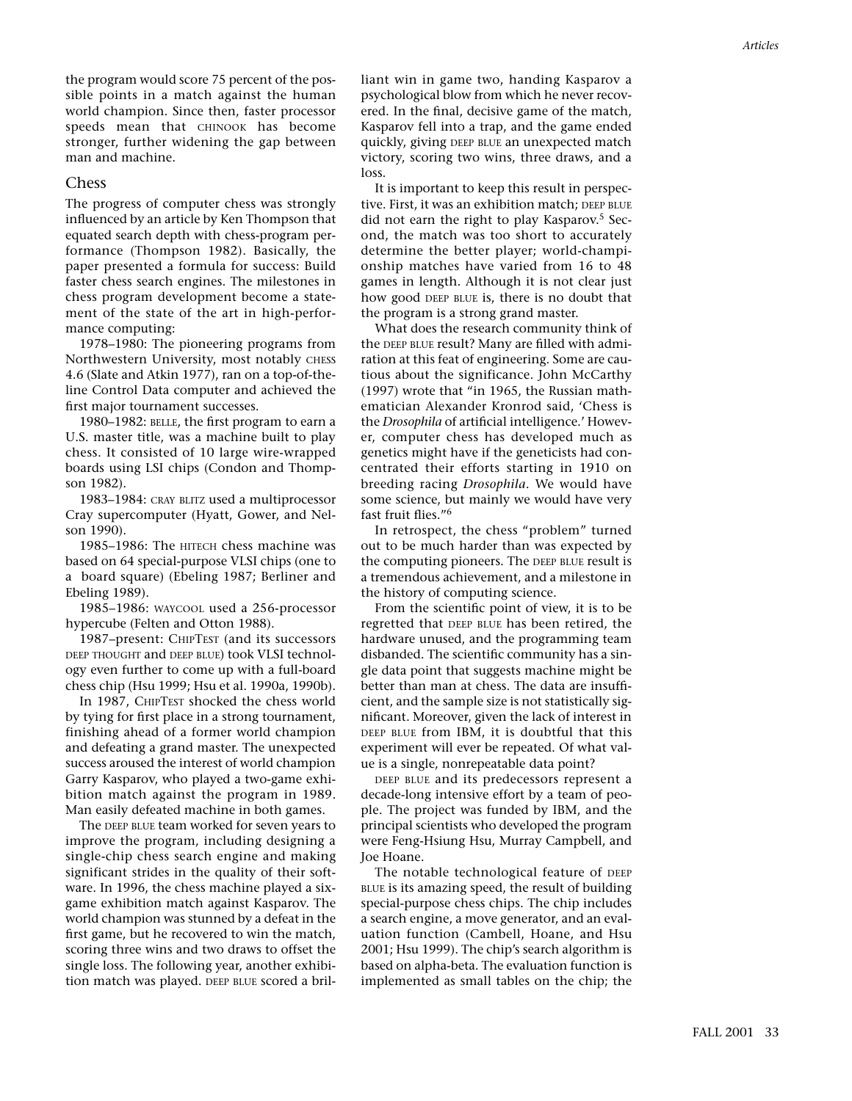the program would score 75 percent of the possible points in a match against the human world champion. Since then, faster processor speeds mean that CHINOOK has become stronger, further widening the gap between man and machine.

# Chess

The progress of computer chess was strongly influenced by an article by Ken Thompson that equated search depth with chess-program performance (Thompson 1982). Basically, the paper presented a formula for success: Build faster chess search engines. The milestones in chess program development become a statement of the state of the art in high-performance computing:

1978–1980: The pioneering programs from Northwestern University, most notably CHESS 4.6 (Slate and Atkin 1977), ran on a top-of-theline Control Data computer and achieved the first major tournament successes.

1980–1982: BELLE, the first program to earn a U.S. master title, was a machine built to play chess. It consisted of 10 large wire-wrapped boards using LSI chips (Condon and Thompson 1982).

1983–1984: CRAY BLITZ used a multiprocessor Cray supercomputer (Hyatt, Gower, and Nelson 1990).

1985–1986: The HITECH chess machine was based on 64 special-purpose VLSI chips (one to a board square) (Ebeling 1987; Berliner and Ebeling 1989).

1985–1986: WAYCOOL used a 256-processor hypercube (Felten and Otton 1988).

1987–present: CHIPTEST (and its successors DEEP THOUGHT and DEEP BLUE) took VLSI technology even further to come up with a full-board chess chip (Hsu 1999; Hsu et al. 1990a, 1990b).

In 1987, CHIPTEST shocked the chess world by tying for first place in a strong tournament, finishing ahead of a former world champion and defeating a grand master. The unexpected success aroused the interest of world champion Garry Kasparov, who played a two-game exhibition match against the program in 1989. Man easily defeated machine in both games.

The DEEP BLUE team worked for seven years to improve the program, including designing a single-chip chess search engine and making significant strides in the quality of their software. In 1996, the chess machine played a sixgame exhibition match against Kasparov. The world champion was stunned by a defeat in the first game, but he recovered to win the match, scoring three wins and two draws to offset the single loss. The following year, another exhibition match was played. DEEP BLUE scored a brilliant win in game two, handing Kasparov a psychological blow from which he never recovered. In the final, decisive game of the match, Kasparov fell into a trap, and the game ended quickly, giving DEEP BLUE an unexpected match victory, scoring two wins, three draws, and a loss.

It is important to keep this result in perspective. First, it was an exhibition match; DEEP BLUE did not earn the right to play Kasparov.<sup>5</sup> Second, the match was too short to accurately determine the better player; world-championship matches have varied from 16 to 48 games in length. Although it is not clear just how good DEEP BLUE is, there is no doubt that the program is a strong grand master.

What does the research community think of the DEEP BLUE result? Many are filled with admiration at this feat of engineering. Some are cautious about the significance. John McCarthy (1997) wrote that "in 1965, the Russian mathematician Alexander Kronrod said, 'Chess is the *Drosophila* of artificial intelligence.' However, computer chess has developed much as genetics might have if the geneticists had concentrated their efforts starting in 1910 on breeding racing *Drosophila*. We would have some science, but mainly we would have very fast fruit flies."6

In retrospect, the chess "problem" turned out to be much harder than was expected by the computing pioneers. The DEEP BLUE result is a tremendous achievement, and a milestone in the history of computing science.

From the scientific point of view, it is to be regretted that DEEP BLUE has been retired, the hardware unused, and the programming team disbanded. The scientific community has a single data point that suggests machine might be better than man at chess. The data are insufficient, and the sample size is not statistically significant. Moreover, given the lack of interest in DEEP BLUE from IBM, it is doubtful that this experiment will ever be repeated. Of what value is a single, nonrepeatable data point?

DEEP BLUE and its predecessors represent a decade-long intensive effort by a team of people. The project was funded by IBM, and the principal scientists who developed the program were Feng-Hsiung Hsu, Murray Campbell, and Joe Hoane.

The notable technological feature of DEEP BLUE is its amazing speed, the result of building special-purpose chess chips. The chip includes a search engine, a move generator, and an evaluation function (Cambell, Hoane, and Hsu 2001; Hsu 1999). The chip's search algorithm is based on alpha-beta. The evaluation function is implemented as small tables on the chip; the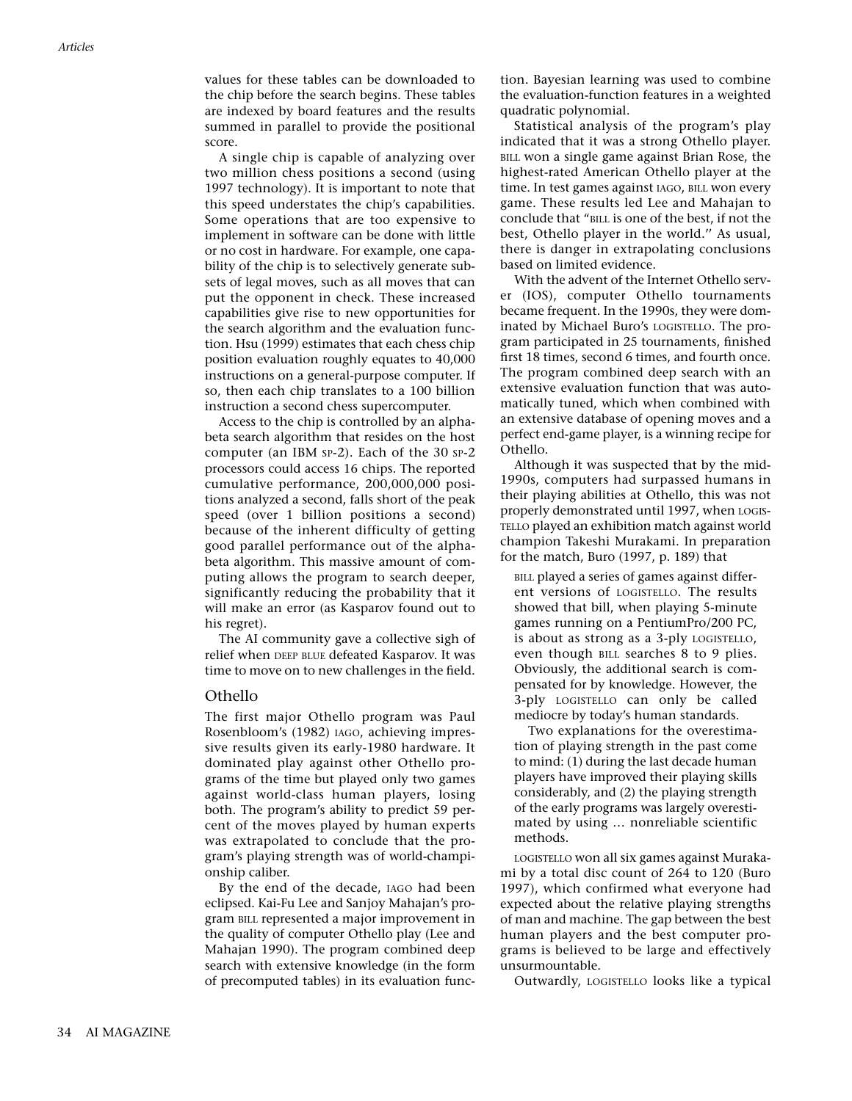values for these tables can be downloaded to the chip before the search begins. These tables are indexed by board features and the results summed in parallel to provide the positional score.

A single chip is capable of analyzing over two million chess positions a second (using 1997 technology). It is important to note that this speed understates the chip's capabilities. Some operations that are too expensive to implement in software can be done with little or no cost in hardware. For example, one capability of the chip is to selectively generate subsets of legal moves, such as all moves that can put the opponent in check. These increased capabilities give rise to new opportunities for the search algorithm and the evaluation function. Hsu (1999) estimates that each chess chip position evaluation roughly equates to 40,000 instructions on a general-purpose computer. If so, then each chip translates to a 100 billion instruction a second chess supercomputer.

Access to the chip is controlled by an alphabeta search algorithm that resides on the host computer (an IBM SP-2). Each of the 30 SP-2 processors could access 16 chips. The reported cumulative performance, 200,000,000 positions analyzed a second, falls short of the peak speed (over 1 billion positions a second) because of the inherent difficulty of getting good parallel performance out of the alphabeta algorithm. This massive amount of computing allows the program to search deeper, significantly reducing the probability that it will make an error (as Kasparov found out to his regret).

The AI community gave a collective sigh of relief when DEEP BLUE defeated Kasparov. It was time to move on to new challenges in the field.

#### Othello

The first major Othello program was Paul Rosenbloom's (1982) IAGO, achieving impressive results given its early-1980 hardware. It dominated play against other Othello programs of the time but played only two games against world-class human players, losing both. The program's ability to predict 59 percent of the moves played by human experts was extrapolated to conclude that the program's playing strength was of world-championship caliber.

By the end of the decade, IAGO had been eclipsed. Kai-Fu Lee and Sanjoy Mahajan's program BILL represented a major improvement in the quality of computer Othello play (Lee and Mahajan 1990). The program combined deep search with extensive knowledge (in the form of precomputed tables) in its evaluation function. Bayesian learning was used to combine the evaluation-function features in a weighted quadratic polynomial.

Statistical analysis of the program's play indicated that it was a strong Othello player. BILL won a single game against Brian Rose, the highest-rated American Othello player at the time. In test games against IAGO, BILL won every game. These results led Lee and Mahajan to conclude that "BILL is one of the best, if not the best, Othello player in the world.'' As usual, there is danger in extrapolating conclusions based on limited evidence.

With the advent of the Internet Othello server (IOS), computer Othello tournaments became frequent. In the 1990s, they were dominated by Michael Buro's LOGISTELLO. The program participated in 25 tournaments, finished first 18 times, second 6 times, and fourth once. The program combined deep search with an extensive evaluation function that was automatically tuned, which when combined with an extensive database of opening moves and a perfect end-game player, is a winning recipe for Othello.

Although it was suspected that by the mid-1990s, computers had surpassed humans in their playing abilities at Othello, this was not properly demonstrated until 1997, when LOGIS-TELLO played an exhibition match against world champion Takeshi Murakami. In preparation for the match, Buro (1997, p. 189) that

BILL played a series of games against different versions of LOGISTELLO. The results showed that bill, when playing 5-minute games running on a PentiumPro/200 PC, is about as strong as a 3-ply LOGISTELLO, even though BILL searches 8 to 9 plies. Obviously, the additional search is compensated for by knowledge. However, the 3-ply LOGISTELLO can only be called mediocre by today's human standards.

Two explanations for the overestimation of playing strength in the past come to mind: (1) during the last decade human players have improved their playing skills considerably, and (2) the playing strength of the early programs was largely overestimated by using … nonreliable scientific methods.

LOGISTELLO won all six games against Murakami by a total disc count of 264 to 120 (Buro 1997), which confirmed what everyone had expected about the relative playing strengths of man and machine. The gap between the best human players and the best computer programs is believed to be large and effectively unsurmountable.

Outwardly, LOGISTELLO looks like a typical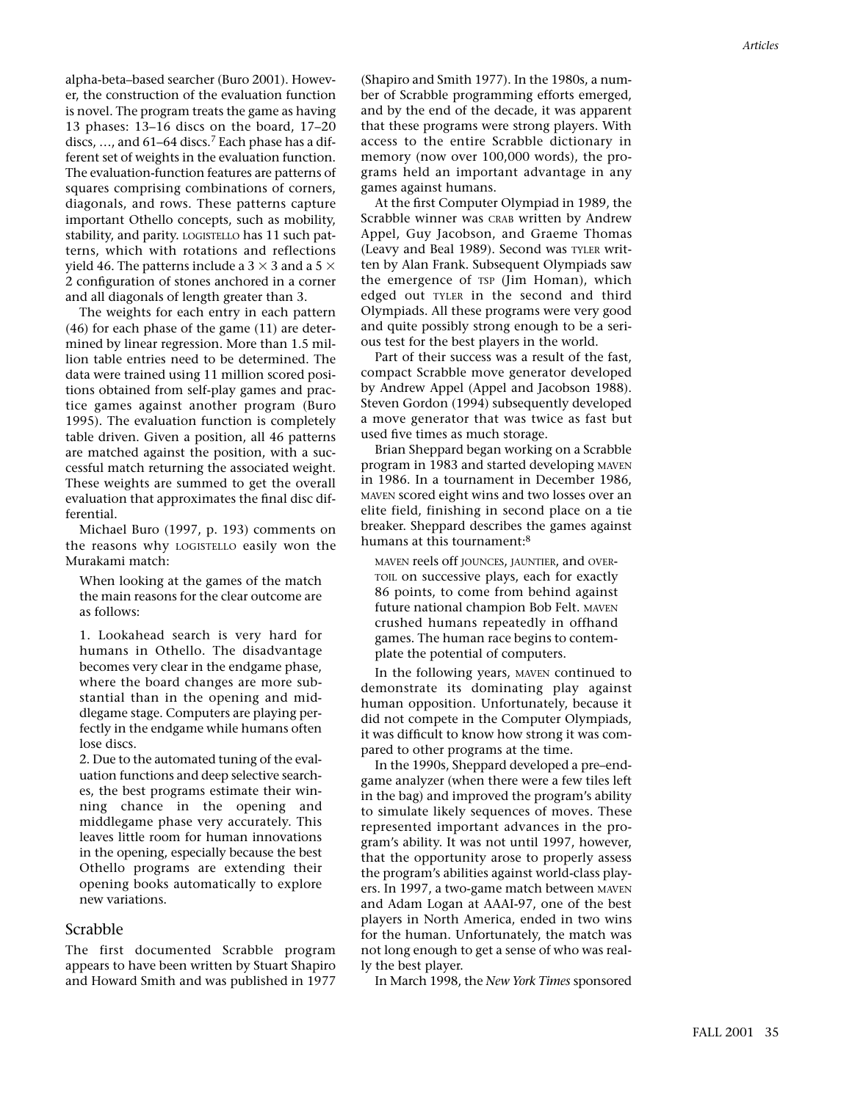alpha-beta–based searcher (Buro 2001). However, the construction of the evaluation function is novel. The program treats the game as having 13 phases: 13–16 discs on the board, 17–20 discs, ..., and  $61-64$  discs.<sup>7</sup> Each phase has a different set of weights in the evaluation function. The evaluation-function features are patterns of squares comprising combinations of corners, diagonals, and rows. These patterns capture important Othello concepts, such as mobility, stability, and parity. LOGISTELLO has 11 such patterns, which with rotations and reflections yield 46. The patterns include a 3  $\times$  3 and a 5  $\times$ 2 configuration of stones anchored in a corner and all diagonals of length greater than 3.

The weights for each entry in each pattern (46) for each phase of the game (11) are determined by linear regression. More than 1.5 million table entries need to be determined. The data were trained using 11 million scored positions obtained from self-play games and practice games against another program (Buro 1995). The evaluation function is completely table driven. Given a position, all 46 patterns are matched against the position, with a successful match returning the associated weight. These weights are summed to get the overall evaluation that approximates the final disc differential.

Michael Buro (1997, p. 193) comments on the reasons why LOGISTELLO easily won the Murakami match:

When looking at the games of the match the main reasons for the clear outcome are as follows:

1. Lookahead search is very hard for humans in Othello. The disadvantage becomes very clear in the endgame phase, where the board changes are more substantial than in the opening and middlegame stage. Computers are playing perfectly in the endgame while humans often lose discs.

2. Due to the automated tuning of the evaluation functions and deep selective searches, the best programs estimate their winning chance in the opening and middlegame phase very accurately. This leaves little room for human innovations in the opening, especially because the best Othello programs are extending their opening books automatically to explore new variations.

### Scrabble

The first documented Scrabble program appears to have been written by Stuart Shapiro and Howard Smith and was published in 1977

(Shapiro and Smith 1977). In the 1980s, a number of Scrabble programming efforts emerged, and by the end of the decade, it was apparent that these programs were strong players. With access to the entire Scrabble dictionary in memory (now over 100,000 words), the programs held an important advantage in any games against humans.

At the first Computer Olympiad in 1989, the Scrabble winner was CRAB written by Andrew Appel, Guy Jacobson, and Graeme Thomas (Leavy and Beal 1989). Second was TYLER written by Alan Frank. Subsequent Olympiads saw the emergence of TSP (Jim Homan), which edged out TYLER in the second and third Olympiads. All these programs were very good and quite possibly strong enough to be a serious test for the best players in the world.

Part of their success was a result of the fast, compact Scrabble move generator developed by Andrew Appel (Appel and Jacobson 1988). Steven Gordon (1994) subsequently developed a move generator that was twice as fast but used five times as much storage.

Brian Sheppard began working on a Scrabble program in 1983 and started developing MAVEN in 1986. In a tournament in December 1986, MAVEN scored eight wins and two losses over an elite field, finishing in second place on a tie breaker. Sheppard describes the games against humans at this tournament:<sup>8</sup>

MAVEN reels off JOUNCES, JAUNTIER, and OVER-TOIL on successive plays, each for exactly 86 points, to come from behind against future national champion Bob Felt. MAVEN crushed humans repeatedly in offhand games. The human race begins to contemplate the potential of computers.

In the following years, MAVEN continued to demonstrate its dominating play against human opposition. Unfortunately, because it did not compete in the Computer Olympiads, it was difficult to know how strong it was compared to other programs at the time.

In the 1990s, Sheppard developed a pre–endgame analyzer (when there were a few tiles left in the bag) and improved the program's ability to simulate likely sequences of moves. These represented important advances in the program's ability. It was not until 1997, however, that the opportunity arose to properly assess the program's abilities against world-class players. In 1997, a two-game match between MAVEN and Adam Logan at AAAI-97, one of the best players in North America, ended in two wins for the human. Unfortunately, the match was not long enough to get a sense of who was really the best player.

In March 1998, the *New York Times* sponsored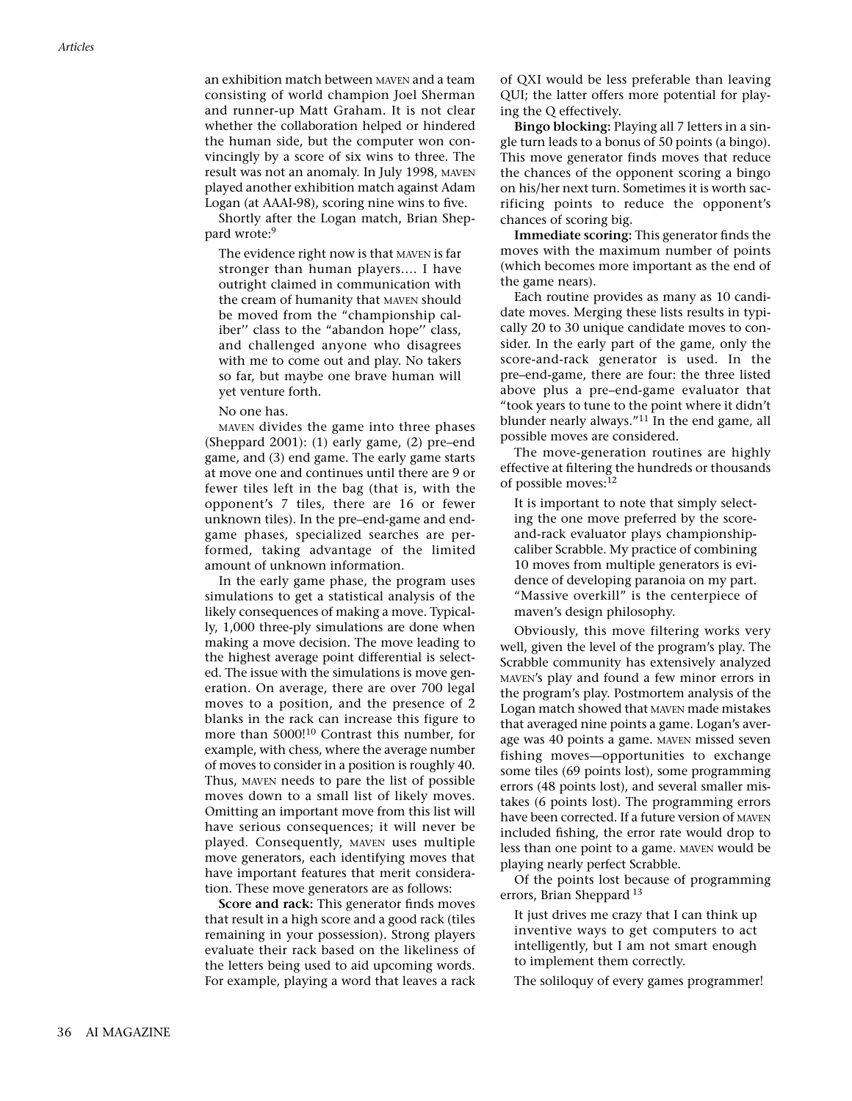an exhibition match between MAVEN and a team consisting of world champion Joel Sherman and runner-up Matt Graham. It is not clear whether the collaboration helped or hindered the human side, but the computer won convincingly by a score of six wins to three. The result was not an anomaly. In July 1998, MAVEN played another exhibition match against Adam Logan (at AAAI-98), scoring nine wins to five.

Shortly after the Logan match, Brian Sheppard wrote:<sup>9</sup>

The evidence right now is that MAVEN is far stronger than human players.… I have outright claimed in communication with the cream of humanity that MAVEN should be moved from the "championship caliber'' class to the "abandon hope'' class, and challenged anyone who disagrees with me to come out and play. No takers so far, but maybe one brave human will yet venture forth.

No one has.

MAVEN divides the game into three phases (Sheppard 2001): (1) early game, (2) pre–end game, and (3) end game. The early game starts at move one and continues until there are 9 or fewer tiles left in the bag (that is, with the opponent's 7 tiles, there are 16 or fewer unknown tiles). In the pre–end-game and endgame phases, specialized searches are performed, taking advantage of the limited amount of unknown information.

In the early game phase, the program uses simulations to get a statistical analysis of the likely consequences of making a move. Typically, 1,000 three-ply simulations are done when making a move decision. The move leading to the highest average point differential is selected. The issue with the simulations is move generation. On average, there are over 700 legal moves to a position, and the presence of 2 blanks in the rack can increase this figure to more than 5000!<sup>10</sup> Contrast this number, for example, with chess, where the average number of moves to consider in a position is roughly 40. Thus, MAVEN needs to pare the list of possible moves down to a small list of likely moves. Omitting an important move from this list will have serious consequences; it will never be played. Consequently, MAVEN uses multiple move generators, each identifying moves that have important features that merit consideration. These move generators are as follows:

**Score and rack:** This generator finds moves that result in a high score and a good rack (tiles remaining in your possession). Strong players evaluate their rack based on the likeliness of the letters being used to aid upcoming words. For example, playing a word that leaves a rack of QXI would be less preferable than leaving QUI; the latter offers more potential for playing the Q effectively.

**Bingo blocking:** Playing all 7 letters in a single turn leads to a bonus of 50 points (a bingo). This move generator finds moves that reduce the chances of the opponent scoring a bingo on his/her next turn. Sometimes it is worth sacrificing points to reduce the opponent's chances of scoring big.

**Immediate scoring:** This generator finds the moves with the maximum number of points (which becomes more important as the end of the game nears).

Each routine provides as many as 10 candidate moves. Merging these lists results in typically 20 to 30 unique candidate moves to consider. In the early part of the game, only the score-and-rack generator is used. In the pre–end-game, there are four: the three listed above plus a pre–end-game evaluator that "took years to tune to the point where it didn't blunder nearly always."11 In the end game, all possible moves are considered.

The move-generation routines are highly effective at filtering the hundreds or thousands of possible moves:12

It is important to note that simply selecting the one move preferred by the scoreand-rack evaluator plays championshipcaliber Scrabble. My practice of combining 10 moves from multiple generators is evidence of developing paranoia on my part. "Massive overkill" is the centerpiece of maven's design philosophy.

Obviously, this move filtering works very well, given the level of the program's play. The Scrabble community has extensively analyzed MAVEN's play and found a few minor errors in the program's play. Postmortem analysis of the Logan match showed that MAVEN made mistakes that averaged nine points a game. Logan's average was 40 points a game. MAVEN missed seven fishing moves—opportunities to exchange some tiles (69 points lost), some programming errors (48 points lost), and several smaller mistakes (6 points lost). The programming errors have been corrected. If a future version of MAVEN included fishing, the error rate would drop to less than one point to a game. MAVEN would be playing nearly perfect Scrabble.

Of the points lost because of programming errors, Brian Sheppard<sup>13</sup>

It just drives me crazy that I can think up inventive ways to get computers to act intelligently, but I am not smart enough to implement them correctly.

The soliloquy of every games programmer!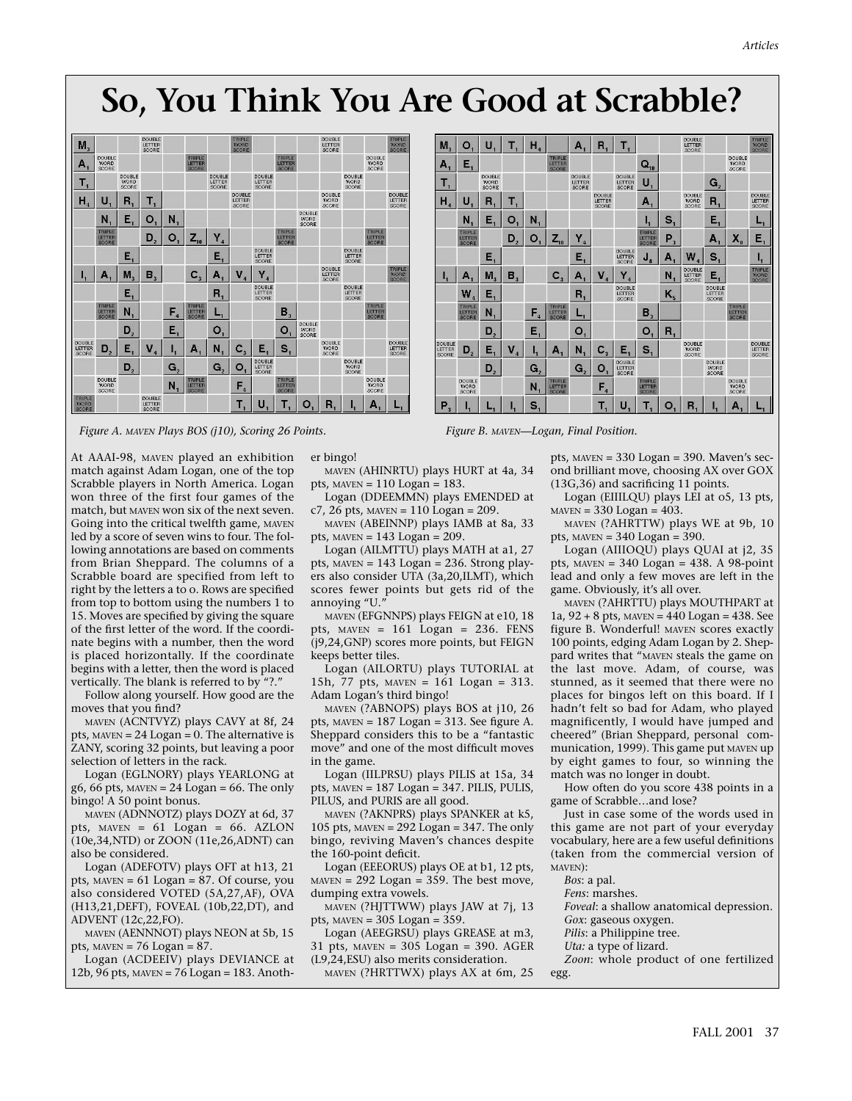# **So, You Think You Are Good at Scrabble?**



| M <sub>3</sub>                   | О.                             | U.                             | т.          | $H_a$          |                                  | А.                               | R.                                      | т,                               |                                  |         | <b>DOUBLE</b><br>LETTER<br>SCORE      |                                       |                                       | TRIPLE<br>WORD<br>SCORE          |
|----------------------------------|--------------------------------|--------------------------------|-------------|----------------|----------------------------------|----------------------------------|-----------------------------------------|----------------------------------|----------------------------------|---------|---------------------------------------|---------------------------------------|---------------------------------------|----------------------------------|
| Α,                               | E,                             |                                |             |                | <b>TRIPLE</b><br>LETTER<br>SCORE |                                  |                                         |                                  | $\mathbf{Q}_{\mathbf{10}}$       |         |                                       |                                       | <b>DOUBLE</b><br><b>WORD</b><br>SCORE |                                  |
| T,                               |                                | <b>DOUBLE</b><br>WORD<br>SCORE |             |                |                                  | <b>DOUBLE</b><br>LETTER<br>SCORE |                                         | <b>DOUBLE</b><br>LETTER<br>SCORE | u                                |         |                                       | G <sub>2</sub>                        |                                       |                                  |
| H <sub>4</sub>                   | υ.                             | R,                             | т,          |                |                                  |                                  | <b>DOUBLE</b><br><b>LETTER</b><br>SCORE |                                  | Α,                               |         | <b>DOUBLE</b><br><b>WORD</b><br>SCORE | R.                                    |                                       | DOUBLE<br>LETTER<br>SCORE        |
|                                  | N,                             | Ε,                             | О,          | N,             |                                  |                                  |                                         |                                  | Ι,                               | S,      |                                       | E,                                    |                                       | -1                               |
|                                  | TRIPLE<br>LETTER<br>SCORE      |                                | D,          | $\mathsf{O}_1$ | $Z_{10}$                         | $\mathsf{Y}_4$                   |                                         |                                  | <b>TRIPLE</b><br>LETTER<br>SCORE | $P_{3}$ |                                       | Α,                                    | X <sub>a</sub>                        | E,                               |
|                                  |                                | Е,                             |             |                |                                  | E,                               |                                         | <b>DOUBLE</b><br>LETTER<br>SCORE | $J_{\rm a}$                      | А,      | W,                                    | $\mathbf{S}_{1}$                      |                                       | л                                |
| ı,                               | Α,                             | М,                             | $B_{3}$     |                | $C_{3}$                          | Α,                               | V,                                      | $Y_{4}$                          |                                  | N.      | <b>DOUBLE</b><br>LETTER<br>SCORE      | Ε,                                    |                                       | TRIPLE<br><b>WORD</b><br>SCORE   |
|                                  | W,                             | Ε,                             |             |                |                                  | R,                               |                                         | <b>DOUBLE</b><br>LETTER<br>SCORE |                                  | $K_{5}$ |                                       | <b>DOUBLE</b><br>LETTER<br>SCORE      |                                       |                                  |
|                                  | TRIPLE<br>LETTER<br>SCORE      | N,                             |             | $F_{4}$        | <b>TRIPLE</b><br>LETTER<br>SCORE | L,                               |                                         |                                  | B,                               |         |                                       |                                       | TRIPLE<br>LETTER<br>SCORE             |                                  |
|                                  |                                | D,                             |             | Е,             |                                  | $\mathsf{O}_1$                   |                                         |                                  | О,                               | R.      |                                       |                                       |                                       |                                  |
| <b>DOUBLE</b><br>LETTER<br>SCORE | $\mathbf{D}_2$                 | Е,                             | ${\bf V}_4$ | I,             | А.                               | N.                               | $\overline{\mathsf{C}}_3$               | Е.                               | S.                               |         | <b>DOUBLE</b><br>WORD<br>SCORE        |                                       |                                       | <b>DOUBLE</b><br>LETTER<br>SCORE |
|                                  |                                | $D_{2}$                        |             | G,             |                                  | G,                               | o                                       | <b>DOUBLE</b><br>LETTER<br>SCORE |                                  |         |                                       | <b>DOUBLE</b><br><b>WORD</b><br>SCORE |                                       |                                  |
|                                  | <b>DOUBLE</b><br>WORD<br>SCORE |                                |             | N,             | TRIPLE<br>LETTER<br>SCORE        |                                  | $F_{4}$                                 |                                  | TRIPLE<br>LETTER<br>SCORE        |         |                                       |                                       | <b>DOUBLE</b><br><b>WORD</b><br>SCORE |                                  |
| $P_{3}$                          |                                |                                |             | s,             |                                  |                                  | Т,                                      | U.                               | Т.                               | O       | R.                                    |                                       | А.                                    |                                  |

*Figure A. MAVEN Plays BOS (j10), Scoring 26 Points. Figure B. MAVEN—Logan, Final Position.*

At AAAI-98, MAVEN played an exhibition match against Adam Logan, one of the top Scrabble players in North America. Logan won three of the first four games of the match, but MAVEN won six of the next seven. Going into the critical twelfth game, MAVEN led by a score of seven wins to four. The following annotations are based on comments from Brian Sheppard. The columns of a Scrabble board are specified from left to right by the letters a to o. Rows are specified from top to bottom using the numbers 1 to 15. Moves are specified by giving the square of the first letter of the word. If the coordinate begins with a number, then the word is placed horizontally. If the coordinate begins with a letter, then the word is placed vertically. The blank is referred to by "?."

Follow along yourself. How good are the moves that you find?

MAVEN (ACNTVYZ) plays CAVY at 8f, 24 pts, MAVEN = 24 Logan = 0. The alternative is ZANY, scoring 32 points, but leaving a poor selection of letters in the rack.

Logan (EGLNORY) plays YEARLONG at g6, 66 pts, MAVEN = 24 Logan = 66. The only bingo! A 50 point bonus.

MAVEN (ADNNOTZ) plays DOZY at 6d, 37 pts, MAVEN = 61 Logan = 66. AZLON (10e,34,NTD) or ZOON (11e,26,ADNT) can also be considered.

Logan (ADEFOTV) plays OFT at h13, 21 pts, MAVEN = 61 Logan = 87. Of course, you also considered VOTED (5A,27,AF), OVA (H13,21,DEFT), FOVEAL (10b,22,DT), and ADVENT (12c,22,FO).

MAVEN (AENNNOT) plays NEON at 5b, 15 pts,  $MAVEN = 76 Logan = 87$ .

Logan (ACDEEIV) plays DEVIANCE at 12b, 96 pts, MAVEN = 76 Logan = 183. Another bingo!

MAVEN (AHINRTU) plays HURT at 4a, 34 pts,  $MAVEN = 110$  Logan = 183.

Logan (DDEEMMN) plays EMENDED at c7, 26 pts,  $MAVEN = 110$  Logan = 209.

MAVEN (ABEINNP) plays IAMB at 8a, 33 pts,  $MAVEN = 143$  Logan = 209.

Logan (AILMTTU) plays MATH at a1, 27 pts, MAVEN = 143 Logan = 236. Strong players also consider UTA (3a,20,ILMT), which scores fewer points but gets rid of the annoying "U."

MAVEN (EFGNNPS) plays FEIGN at e10, 18 pts, MAVEN = 161 Logan = 236. FENS (j9,24,GNP) scores more points, but FEIGN keeps better tiles.

Logan (AILORTU) plays TUTORIAL at 15h, 77 pts, MAVEN = 161 Logan = 313. Adam Logan's third bingo!

MAVEN (?ABNOPS) plays BOS at j10, 26 pts, MAVEN = 187 Logan = 313. See figure A. Sheppard considers this to be a "fantastic move" and one of the most difficult moves in the game.

Logan (IILPRSU) plays PILIS at 15a, 34 pts, MAVEN = 187 Logan = 347. PILIS, PULIS, PILUS, and PURIS are all good.

MAVEN (?AKNPRS) plays SPANKER at k5, 105 pts, MAVEN = 292 Logan = 347. The only bingo, reviving Maven's chances despite the 160-point deficit.

Logan (EEEORUS) plays OE at b1, 12 pts,  $MAVEN = 292 Logan = 359$ . The best move, dumping extra vowels.

MAVEN (?HJTTWW) plays JAW at 7j, 13 pts,  $MAVEN = 305 Logan = 359$ .

Logan (AEEGRSU) plays GREASE at m3, 31 pts, MAVEN = 305 Logan = 390. AGER (L9,24,ESU) also merits consideration.

MAVEN (?HRTTWX) plays AX at 6m, 25

pts, MAVEN = 330 Logan = 390. Maven's second brilliant move, choosing AX over GOX (13G,36) and sacrificing 11 points.

Logan (EIIILQU) plays LEI at o5, 13 pts,  $MAVEN = 330 Logan = 403$ .

MAVEN (?AHRTTW) plays WE at 9b, 10 pts, MAVEN = 340 Logan = 390.

Logan (AIIIOQU) plays QUAI at j2, 35 pts, MAVEN = 340 Logan = 438. A 98-point lead and only a few moves are left in the game. Obviously, it's all over.

MAVEN (?AHRTTU) plays MOUTHPART at 1a, 92 + 8 pts, MAVEN = 440 Logan = 438. See figure B. Wonderful! MAVEN scores exactly 100 points, edging Adam Logan by 2. Sheppard writes that "MAVEN steals the game on the last move. Adam, of course, was stunned, as it seemed that there were no places for bingos left on this board. If I hadn't felt so bad for Adam, who played magnificently, I would have jumped and cheered" (Brian Sheppard, personal communication, 1999). This game put MAVEN up by eight games to four, so winning the match was no longer in doubt.

How often do you score 438 points in a game of Scrabble…and lose?

Just in case some of the words used in this game are not part of your everyday vocabulary, here are a few useful definitions (taken from the commercial version of MAVEN):

*Bos*: a pal.

*Fens*: marshes.

*Foveal*: a shallow anatomical depression.

*Gox*: gaseous oxygen.

*Pilis*: a Philippine tree. *Uta:* a type of lizard.

*Zoon*: whole product of one fertilized

egg.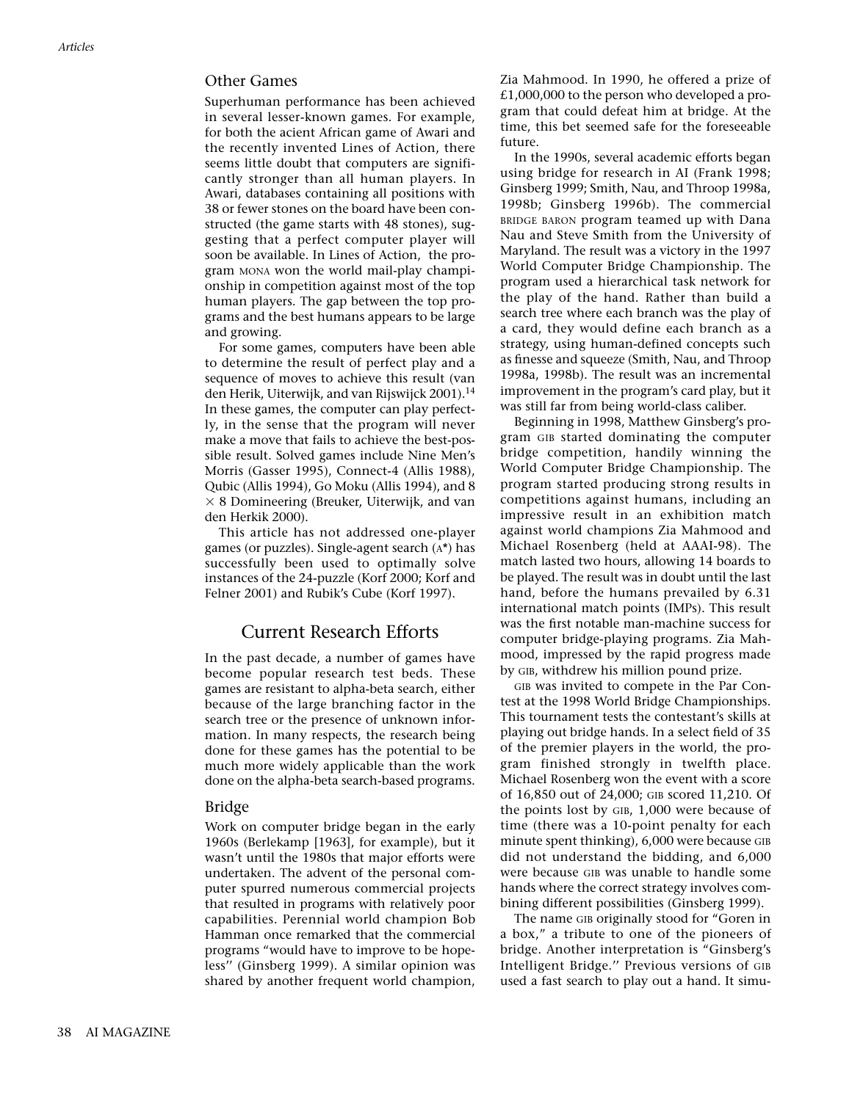# Other Games

Superhuman performance has been achieved in several lesser-known games. For example, for both the acient African game of Awari and the recently invented Lines of Action, there seems little doubt that computers are significantly stronger than all human players. In Awari, databases containing all positions with 38 or fewer stones on the board have been constructed (the game starts with 48 stones), suggesting that a perfect computer player will soon be available. In Lines of Action, the program MONA won the world mail-play championship in competition against most of the top human players. The gap between the top programs and the best humans appears to be large and growing.

For some games, computers have been able to determine the result of perfect play and a sequence of moves to achieve this result (van den Herik, Uiterwijk, and van Rijswijck 2001).14 In these games, the computer can play perfectly, in the sense that the program will never make a move that fails to achieve the best-possible result. Solved games include Nine Men's Morris (Gasser 1995), Connect-4 (Allis 1988), Qubic (Allis 1994), Go Moku (Allis 1994), and 8  $\times$  8 Domineering (Breuker, Uiterwijk, and van den Herkik 2000).

This article has not addressed one-player games (or puzzles). Single-agent search (A\*) has successfully been used to optimally solve instances of the 24-puzzle (Korf 2000; Korf and Felner 2001) and Rubik's Cube (Korf 1997).

# Current Research Efforts

In the past decade, a number of games have become popular research test beds. These games are resistant to alpha-beta search, either because of the large branching factor in the search tree or the presence of unknown information. In many respects, the research being done for these games has the potential to be much more widely applicable than the work done on the alpha-beta search-based programs.

#### Bridge

Work on computer bridge began in the early 1960s (Berlekamp [1963], for example), but it wasn't until the 1980s that major efforts were undertaken. The advent of the personal computer spurred numerous commercial projects that resulted in programs with relatively poor capabilities. Perennial world champion Bob Hamman once remarked that the commercial programs "would have to improve to be hopeless'' (Ginsberg 1999). A similar opinion was shared by another frequent world champion, Zia Mahmood. In 1990, he offered a prize of  $£1,000,000$  to the person who developed a program that could defeat him at bridge. At the time, this bet seemed safe for the foreseeable future.

In the 1990s, several academic efforts began using bridge for research in AI (Frank 1998; Ginsberg 1999; Smith, Nau, and Throop 1998a, 1998b; Ginsberg 1996b). The commercial BRIDGE BARON program teamed up with Dana Nau and Steve Smith from the University of Maryland. The result was a victory in the 1997 World Computer Bridge Championship. The program used a hierarchical task network for the play of the hand. Rather than build a search tree where each branch was the play of a card, they would define each branch as a strategy, using human-defined concepts such as finesse and squeeze (Smith, Nau, and Throop 1998a, 1998b). The result was an incremental improvement in the program's card play, but it was still far from being world-class caliber.

Beginning in 1998, Matthew Ginsberg's program GIB started dominating the computer bridge competition, handily winning the World Computer Bridge Championship. The program started producing strong results in competitions against humans, including an impressive result in an exhibition match against world champions Zia Mahmood and Michael Rosenberg (held at AAAI-98). The match lasted two hours, allowing 14 boards to be played. The result was in doubt until the last hand, before the humans prevailed by 6.31 international match points (IMPs). This result was the first notable man-machine success for computer bridge-playing programs. Zia Mahmood, impressed by the rapid progress made by GIB, withdrew his million pound prize.

GIB was invited to compete in the Par Contest at the 1998 World Bridge Championships. This tournament tests the contestant's skills at playing out bridge hands. In a select field of 35 of the premier players in the world, the program finished strongly in twelfth place. Michael Rosenberg won the event with a score of 16,850 out of 24,000; GIB scored 11,210. Of the points lost by GIB, 1,000 were because of time (there was a 10-point penalty for each minute spent thinking), 6,000 were because GIB did not understand the bidding, and 6,000 were because GIB was unable to handle some hands where the correct strategy involves combining different possibilities (Ginsberg 1999).

The name GIB originally stood for "Goren in a box," a tribute to one of the pioneers of bridge. Another interpretation is "Ginsberg's Intelligent Bridge.'' Previous versions of GIB used a fast search to play out a hand. It simu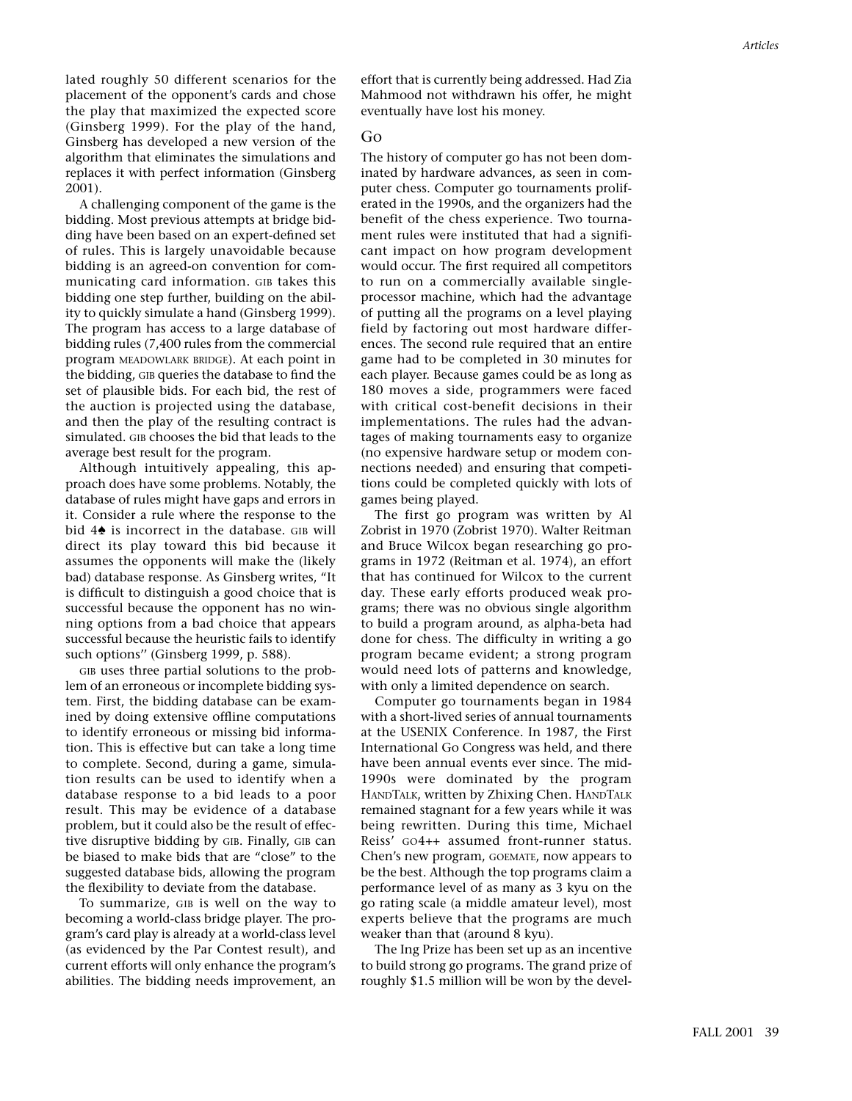lated roughly 50 different scenarios for the placement of the opponent's cards and chose the play that maximized the expected score (Ginsberg 1999). For the play of the hand, Ginsberg has developed a new version of the algorithm that eliminates the simulations and replaces it with perfect information (Ginsberg 2001).

A challenging component of the game is the bidding. Most previous attempts at bridge bidding have been based on an expert-defined set of rules. This is largely unavoidable because bidding is an agreed-on convention for communicating card information. GIB takes this bidding one step further, building on the ability to quickly simulate a hand (Ginsberg 1999). The program has access to a large database of bidding rules (7,400 rules from the commercial program MEADOWLARK BRIDGE). At each point in the bidding, GIB queries the database to find the set of plausible bids. For each bid, the rest of the auction is projected using the database, and then the play of the resulting contract is simulated. GIB chooses the bid that leads to the average best result for the program.

Although intuitively appealing, this approach does have some problems. Notably, the database of rules might have gaps and errors in it. Consider a rule where the response to the bid 4♠ is incorrect in the database. GIB will direct its play toward this bid because it assumes the opponents will make the (likely bad) database response. As Ginsberg writes, "It is difficult to distinguish a good choice that is successful because the opponent has no winning options from a bad choice that appears successful because the heuristic fails to identify such options'' (Ginsberg 1999, p. 588).

GIB uses three partial solutions to the problem of an erroneous or incomplete bidding system. First, the bidding database can be examined by doing extensive offline computations to identify erroneous or missing bid information. This is effective but can take a long time to complete. Second, during a game, simulation results can be used to identify when a database response to a bid leads to a poor result. This may be evidence of a database problem, but it could also be the result of effective disruptive bidding by GIB. Finally, GIB can be biased to make bids that are "close" to the suggested database bids, allowing the program the flexibility to deviate from the database.

To summarize, GIB is well on the way to becoming a world-class bridge player. The program's card play is already at a world-class level (as evidenced by the Par Contest result), and current efforts will only enhance the program's abilities. The bidding needs improvement, an

effort that is currently being addressed. Had Zia Mahmood not withdrawn his offer, he might eventually have lost his money.

### Go

The history of computer go has not been dominated by hardware advances, as seen in computer chess. Computer go tournaments proliferated in the 1990s, and the organizers had the benefit of the chess experience. Two tournament rules were instituted that had a significant impact on how program development would occur. The first required all competitors to run on a commercially available singleprocessor machine, which had the advantage of putting all the programs on a level playing field by factoring out most hardware differences. The second rule required that an entire game had to be completed in 30 minutes for each player. Because games could be as long as 180 moves a side, programmers were faced with critical cost-benefit decisions in their implementations. The rules had the advantages of making tournaments easy to organize (no expensive hardware setup or modem connections needed) and ensuring that competitions could be completed quickly with lots of games being played.

The first go program was written by Al Zobrist in 1970 (Zobrist 1970). Walter Reitman and Bruce Wilcox began researching go programs in 1972 (Reitman et al. 1974), an effort that has continued for Wilcox to the current day. These early efforts produced weak programs; there was no obvious single algorithm to build a program around, as alpha-beta had done for chess. The difficulty in writing a go program became evident; a strong program would need lots of patterns and knowledge, with only a limited dependence on search.

Computer go tournaments began in 1984 with a short-lived series of annual tournaments at the USENIX Conference. In 1987, the First International Go Congress was held, and there have been annual events ever since. The mid-1990s were dominated by the program HANDTALK, written by Zhixing Chen. HANDTALK remained stagnant for a few years while it was being rewritten. During this time, Michael Reiss' GO4++ assumed front-runner status. Chen's new program, GOEMATE, now appears to be the best. Although the top programs claim a performance level of as many as 3 kyu on the go rating scale (a middle amateur level), most experts believe that the programs are much weaker than that (around 8 kyu).

The Ing Prize has been set up as an incentive to build strong go programs. The grand prize of roughly \$1.5 million will be won by the devel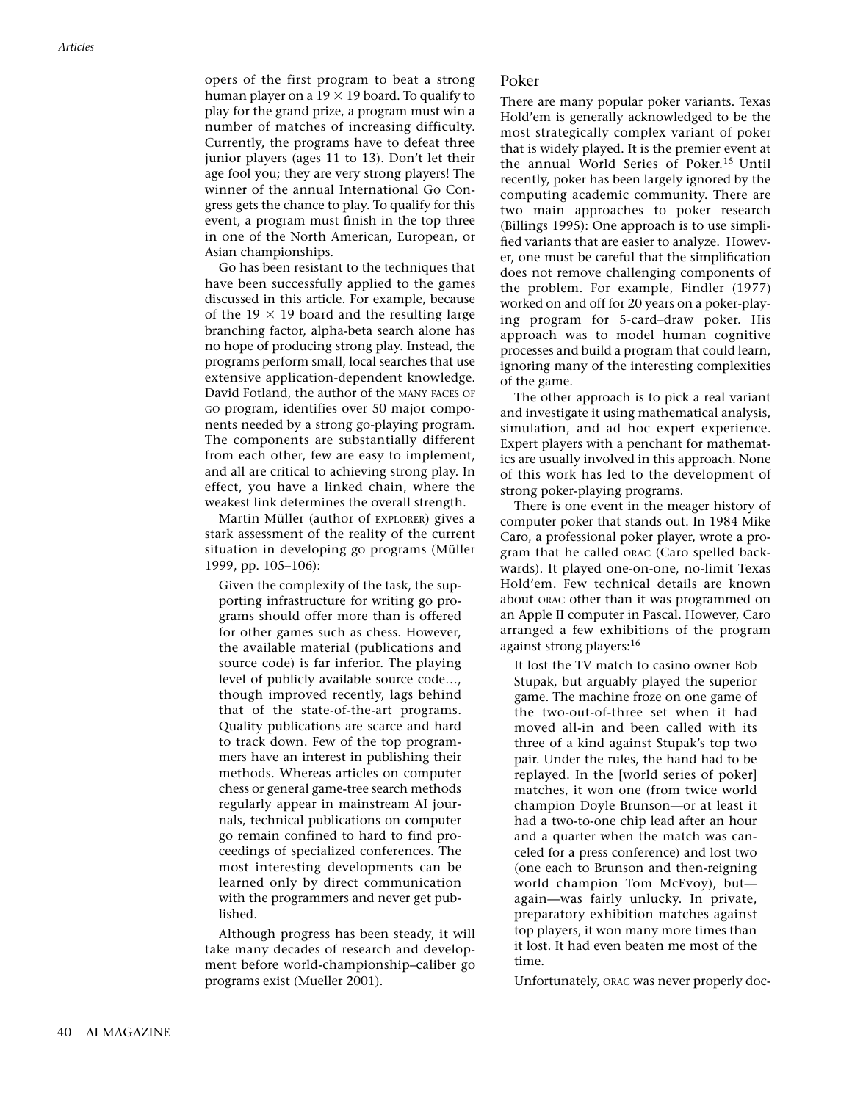opers of the first program to beat a strong human player on a 19  $\times$  19 board. To qualify to play for the grand prize, a program must win a number of matches of increasing difficulty. Currently, the programs have to defeat three junior players (ages 11 to 13). Don't let their age fool you; they are very strong players! The winner of the annual International Go Congress gets the chance to play. To qualify for this event, a program must finish in the top three in one of the North American, European, or Asian championships.

Go has been resistant to the techniques that have been successfully applied to the games discussed in this article. For example, because of the 19  $\times$  19 board and the resulting large branching factor, alpha-beta search alone has no hope of producing strong play. Instead, the programs perform small, local searches that use extensive application-dependent knowledge. David Fotland, the author of the MANY FACES OF GO program, identifies over 50 major components needed by a strong go-playing program. The components are substantially different from each other, few are easy to implement, and all are critical to achieving strong play. In effect, you have a linked chain, where the weakest link determines the overall strength.

Martin Müller (author of EXPLORER) gives a stark assessment of the reality of the current situation in developing go programs (Müller 1999, pp. 105–106):

Given the complexity of the task, the supporting infrastructure for writing go programs should offer more than is offered for other games such as chess. However, the available material (publications and source code) is far inferior. The playing level of publicly available source code…, though improved recently, lags behind that of the state-of-the-art programs. Quality publications are scarce and hard to track down. Few of the top programmers have an interest in publishing their methods. Whereas articles on computer chess or general game-tree search methods regularly appear in mainstream AI journals, technical publications on computer go remain confined to hard to find proceedings of specialized conferences. The most interesting developments can be learned only by direct communication with the programmers and never get published.

Although progress has been steady, it will take many decades of research and development before world-championship–caliber go programs exist (Mueller 2001).

### Poker

There are many popular poker variants. Texas Hold'em is generally acknowledged to be the most strategically complex variant of poker that is widely played. It is the premier event at the annual World Series of Poker.15 Until recently, poker has been largely ignored by the computing academic community. There are two main approaches to poker research (Billings 1995): One approach is to use simplified variants that are easier to analyze. However, one must be careful that the simplification does not remove challenging components of the problem. For example, Findler (1977) worked on and off for 20 years on a poker-playing program for 5-card–draw poker. His approach was to model human cognitive processes and build a program that could learn, ignoring many of the interesting complexities of the game.

The other approach is to pick a real variant and investigate it using mathematical analysis, simulation, and ad hoc expert experience. Expert players with a penchant for mathematics are usually involved in this approach. None of this work has led to the development of strong poker-playing programs.

There is one event in the meager history of computer poker that stands out. In 1984 Mike Caro, a professional poker player, wrote a program that he called ORAC (Caro spelled backwards). It played one-on-one, no-limit Texas Hold'em. Few technical details are known about ORAC other than it was programmed on an Apple II computer in Pascal. However, Caro arranged a few exhibitions of the program against strong players:<sup>16</sup>

It lost the TV match to casino owner Bob Stupak, but arguably played the superior game. The machine froze on one game of the two-out-of-three set when it had moved all-in and been called with its three of a kind against Stupak's top two pair. Under the rules, the hand had to be replayed. In the [world series of poker] matches, it won one (from twice world champion Doyle Brunson—or at least it had a two-to-one chip lead after an hour and a quarter when the match was canceled for a press conference) and lost two (one each to Brunson and then-reigning world champion Tom McEvoy), but again—was fairly unlucky. In private, preparatory exhibition matches against top players, it won many more times than it lost. It had even beaten me most of the time.

Unfortunately, ORAC was never properly doc-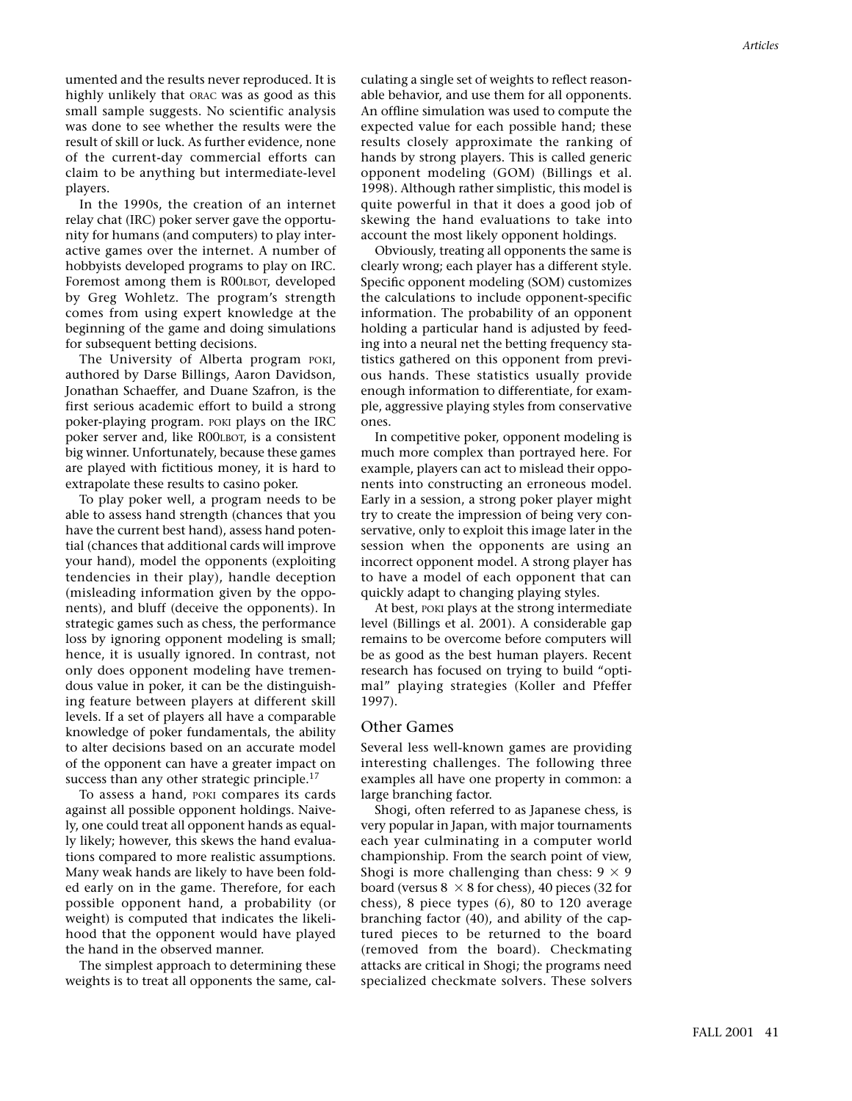umented and the results never reproduced. It is highly unlikely that ORAC was as good as this small sample suggests. No scientific analysis was done to see whether the results were the result of skill or luck. As further evidence, none of the current-day commercial efforts can claim to be anything but intermediate-level players.

In the 1990s, the creation of an internet relay chat (IRC) poker server gave the opportunity for humans (and computers) to play interactive games over the internet. A number of hobbyists developed programs to play on IRC. Foremost among them is R00LBOT, developed by Greg Wohletz. The program's strength comes from using expert knowledge at the beginning of the game and doing simulations for subsequent betting decisions.

The University of Alberta program POKI, authored by Darse Billings, Aaron Davidson, Jonathan Schaeffer, and Duane Szafron, is the first serious academic effort to build a strong poker-playing program. POKI plays on the IRC poker server and, like R00LBOT, is a consistent big winner. Unfortunately, because these games are played with fictitious money, it is hard to extrapolate these results to casino poker.

To play poker well, a program needs to be able to assess hand strength (chances that you have the current best hand), assess hand potential (chances that additional cards will improve your hand), model the opponents (exploiting tendencies in their play), handle deception (misleading information given by the opponents), and bluff (deceive the opponents). In strategic games such as chess, the performance loss by ignoring opponent modeling is small; hence, it is usually ignored. In contrast, not only does opponent modeling have tremendous value in poker, it can be the distinguishing feature between players at different skill levels. If a set of players all have a comparable knowledge of poker fundamentals, the ability to alter decisions based on an accurate model of the opponent can have a greater impact on success than any other strategic principle.<sup>17</sup>

To assess a hand, POKI compares its cards against all possible opponent holdings. Naively, one could treat all opponent hands as equally likely; however, this skews the hand evaluations compared to more realistic assumptions. Many weak hands are likely to have been folded early on in the game. Therefore, for each possible opponent hand, a probability (or weight) is computed that indicates the likelihood that the opponent would have played the hand in the observed manner.

The simplest approach to determining these weights is to treat all opponents the same, calculating a single set of weights to reflect reasonable behavior, and use them for all opponents. An offline simulation was used to compute the expected value for each possible hand; these results closely approximate the ranking of hands by strong players. This is called generic opponent modeling (GOM) (Billings et al. 1998). Although rather simplistic, this model is quite powerful in that it does a good job of skewing the hand evaluations to take into account the most likely opponent holdings.

Obviously, treating all opponents the same is clearly wrong; each player has a different style. Specific opponent modeling (SOM) customizes the calculations to include opponent-specific information. The probability of an opponent holding a particular hand is adjusted by feeding into a neural net the betting frequency statistics gathered on this opponent from previous hands. These statistics usually provide enough information to differentiate, for example, aggressive playing styles from conservative ones.

In competitive poker, opponent modeling is much more complex than portrayed here. For example, players can act to mislead their opponents into constructing an erroneous model. Early in a session, a strong poker player might try to create the impression of being very conservative, only to exploit this image later in the session when the opponents are using an incorrect opponent model. A strong player has to have a model of each opponent that can quickly adapt to changing playing styles.

At best, POKI plays at the strong intermediate level (Billings et al. 2001). A considerable gap remains to be overcome before computers will be as good as the best human players. Recent research has focused on trying to build "optimal" playing strategies (Koller and Pfeffer 1997).

#### Other Games

Several less well-known games are providing interesting challenges. The following three examples all have one property in common: a large branching factor.

Shogi, often referred to as Japanese chess, is very popular in Japan, with major tournaments each year culminating in a computer world championship. From the search point of view, Shogi is more challenging than chess: 9  $\times$  9  $\,$ board (versus  $8 \times 8$  for chess), 40 pieces (32 for chess), 8 piece types (6), 80 to 120 average branching factor (40), and ability of the captured pieces to be returned to the board (removed from the board). Checkmating attacks are critical in Shogi; the programs need specialized checkmate solvers. These solvers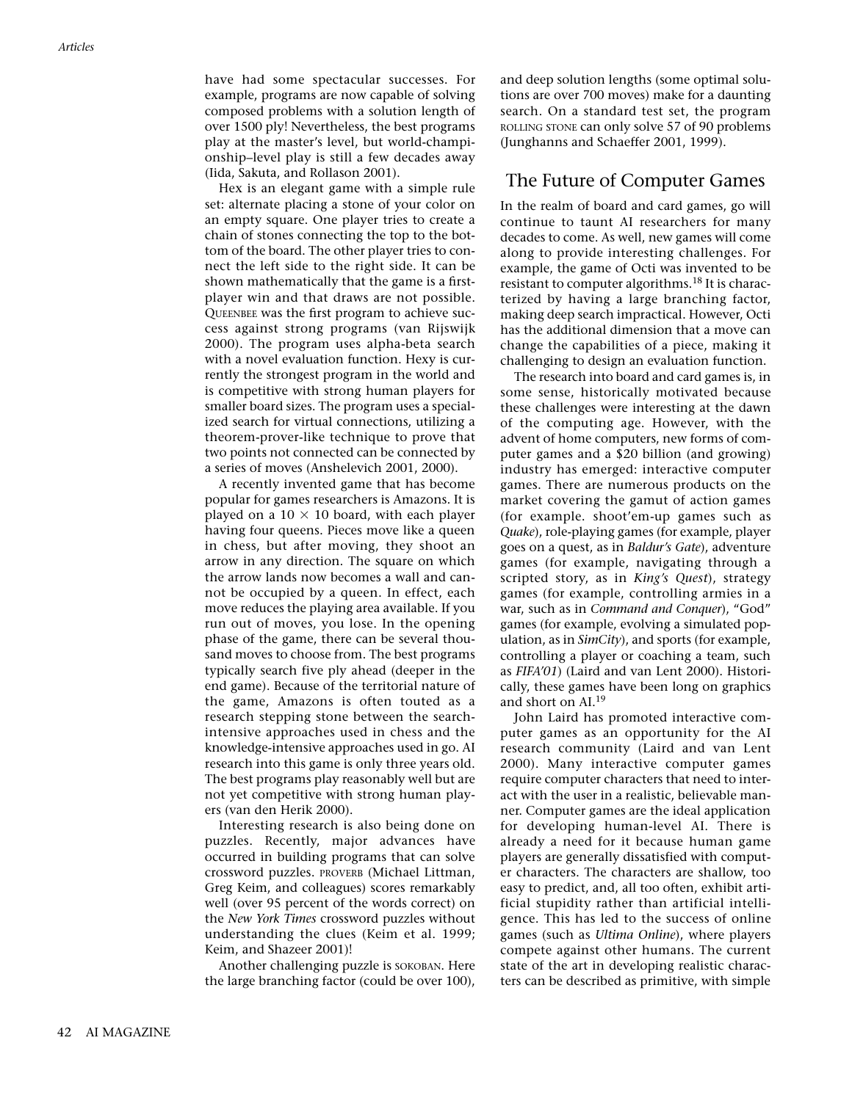have had some spectacular successes. For example, programs are now capable of solving composed problems with a solution length of over 1500 ply! Nevertheless, the best programs play at the master's level, but world-championship–level play is still a few decades away (Iida, Sakuta, and Rollason 2001).

Hex is an elegant game with a simple rule set: alternate placing a stone of your color on an empty square. One player tries to create a chain of stones connecting the top to the bottom of the board. The other player tries to connect the left side to the right side. It can be shown mathematically that the game is a firstplayer win and that draws are not possible. QUEENBEE was the first program to achieve success against strong programs (van Rijswijk 2000). The program uses alpha-beta search with a novel evaluation function. Hexy is currently the strongest program in the world and is competitive with strong human players for smaller board sizes. The program uses a specialized search for virtual connections, utilizing a theorem-prover-like technique to prove that two points not connected can be connected by a series of moves (Anshelevich 2001, 2000).

A recently invented game that has become popular for games researchers is Amazons. It is played on a 10  $\times$  10 board, with each player having four queens. Pieces move like a queen in chess, but after moving, they shoot an arrow in any direction. The square on which the arrow lands now becomes a wall and cannot be occupied by a queen. In effect, each move reduces the playing area available. If you run out of moves, you lose. In the opening phase of the game, there can be several thousand moves to choose from. The best programs typically search five ply ahead (deeper in the end game). Because of the territorial nature of the game, Amazons is often touted as a research stepping stone between the searchintensive approaches used in chess and the knowledge-intensive approaches used in go. AI research into this game is only three years old. The best programs play reasonably well but are not yet competitive with strong human players (van den Herik 2000).

Interesting research is also being done on puzzles. Recently, major advances have occurred in building programs that can solve crossword puzzles. PROVERB (Michael Littman, Greg Keim, and colleagues) scores remarkably well (over 95 percent of the words correct) on the *New York Times* crossword puzzles without understanding the clues (Keim et al. 1999; Keim, and Shazeer 2001)!

Another challenging puzzle is SOKOBAN. Here the large branching factor (could be over 100), and deep solution lengths (some optimal solutions are over 700 moves) make for a daunting search. On a standard test set, the program ROLLING STONE can only solve 57 of 90 problems (Junghanns and Schaeffer 2001, 1999).

# The Future of Computer Games

In the realm of board and card games, go will continue to taunt AI researchers for many decades to come. As well, new games will come along to provide interesting challenges. For example, the game of Octi was invented to be resistant to computer algorithms.<sup>18</sup> It is characterized by having a large branching factor, making deep search impractical. However, Octi has the additional dimension that a move can change the capabilities of a piece, making it challenging to design an evaluation function.

The research into board and card games is, in some sense, historically motivated because these challenges were interesting at the dawn of the computing age. However, with the advent of home computers, new forms of computer games and a \$20 billion (and growing) industry has emerged: interactive computer games. There are numerous products on the market covering the gamut of action games (for example. shoot'em-up games such as *Quake*), role-playing games (for example, player goes on a quest, as in *Baldur's Gate*), adventure games (for example, navigating through a scripted story, as in *King's Quest*), strategy games (for example, controlling armies in a war, such as in *Command and Conquer*), "God" games (for example, evolving a simulated population, as in *SimCity*), and sports (for example, controlling a player or coaching a team, such as *FIFA'01*) (Laird and van Lent 2000). Historically, these games have been long on graphics and short on AI.19

John Laird has promoted interactive computer games as an opportunity for the AI research community (Laird and van Lent 2000). Many interactive computer games require computer characters that need to interact with the user in a realistic, believable manner. Computer games are the ideal application for developing human-level AI. There is already a need for it because human game players are generally dissatisfied with computer characters. The characters are shallow, too easy to predict, and, all too often, exhibit artificial stupidity rather than artificial intelligence. This has led to the success of online games (such as *Ultima Online*), where players compete against other humans. The current state of the art in developing realistic characters can be described as primitive, with simple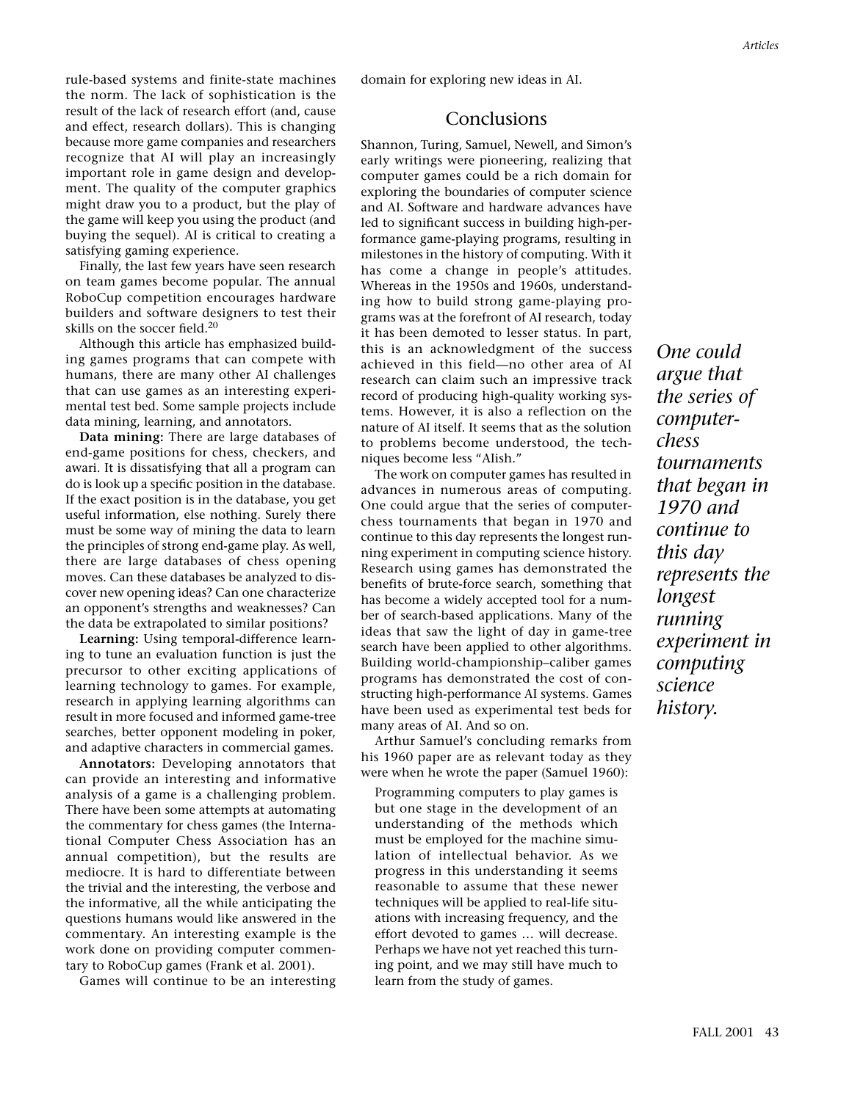rule-based systems and finite-state machines the norm. The lack of sophistication is the result of the lack of research effort (and, cause and effect, research dollars). This is changing because more game companies and researchers recognize that AI will play an increasingly important role in game design and development. The quality of the computer graphics might draw you to a product, but the play of the game will keep you using the product (and buying the sequel). AI is critical to creating a satisfying gaming experience.

Finally, the last few years have seen research on team games become popular. The annual RoboCup competition encourages hardware builders and software designers to test their skills on the soccer field.20

Although this article has emphasized building games programs that can compete with humans, there are many other AI challenges that can use games as an interesting experimental test bed. Some sample projects include data mining, learning, and annotators.

**Data mining:** There are large databases of end-game positions for chess, checkers, and awari. It is dissatisfying that all a program can do is look up a specific position in the database. If the exact position is in the database, you get useful information, else nothing. Surely there must be some way of mining the data to learn the principles of strong end-game play. As well, there are large databases of chess opening moves. Can these databases be analyzed to discover new opening ideas? Can one characterize an opponent's strengths and weaknesses? Can the data be extrapolated to similar positions?

**Learning:** Using temporal-difference learning to tune an evaluation function is just the precursor to other exciting applications of learning technology to games. For example, research in applying learning algorithms can result in more focused and informed game-tree searches, better opponent modeling in poker, and adaptive characters in commercial games.

**Annotators:** Developing annotators that can provide an interesting and informative analysis of a game is a challenging problem. There have been some attempts at automating the commentary for chess games (the International Computer Chess Association has an annual competition), but the results are mediocre. It is hard to differentiate between the trivial and the interesting, the verbose and the informative, all the while anticipating the questions humans would like answered in the commentary. An interesting example is the work done on providing computer commentary to RoboCup games (Frank et al. 2001).

Games will continue to be an interesting

domain for exploring new ideas in AI.

# Conclusions

Shannon, Turing, Samuel, Newell, and Simon's early writings were pioneering, realizing that computer games could be a rich domain for exploring the boundaries of computer science and AI. Software and hardware advances have led to significant success in building high-performance game-playing programs, resulting in milestones in the history of computing. With it has come a change in people's attitudes. Whereas in the 1950s and 1960s, understanding how to build strong game-playing programs was at the forefront of AI research, today it has been demoted to lesser status. In part, this is an acknowledgment of the success achieved in this field—no other area of AI research can claim such an impressive track record of producing high-quality working systems. However, it is also a reflection on the nature of AI itself. It seems that as the solution to problems become understood, the techniques become less "AIish."

The work on computer games has resulted in advances in numerous areas of computing. One could argue that the series of computerchess tournaments that began in 1970 and continue to this day represents the longest running experiment in computing science history. Research using games has demonstrated the benefits of brute-force search, something that has become a widely accepted tool for a number of search-based applications. Many of the ideas that saw the light of day in game-tree search have been applied to other algorithms. Building world-championship–caliber games programs has demonstrated the cost of constructing high-performance AI systems. Games have been used as experimental test beds for many areas of AI. And so on.

Arthur Samuel's concluding remarks from his 1960 paper are as relevant today as they were when he wrote the paper (Samuel 1960):

Programming computers to play games is but one stage in the development of an understanding of the methods which must be employed for the machine simulation of intellectual behavior. As we progress in this understanding it seems reasonable to assume that these newer techniques will be applied to real-life situations with increasing frequency, and the effort devoted to games … will decrease. Perhaps we have not yet reached this turning point, and we may still have much to learn from the study of games.

*One could argue that the series of computerchess tournaments that began in 1970 and continue to this day represents the longest running experiment in computing science history.*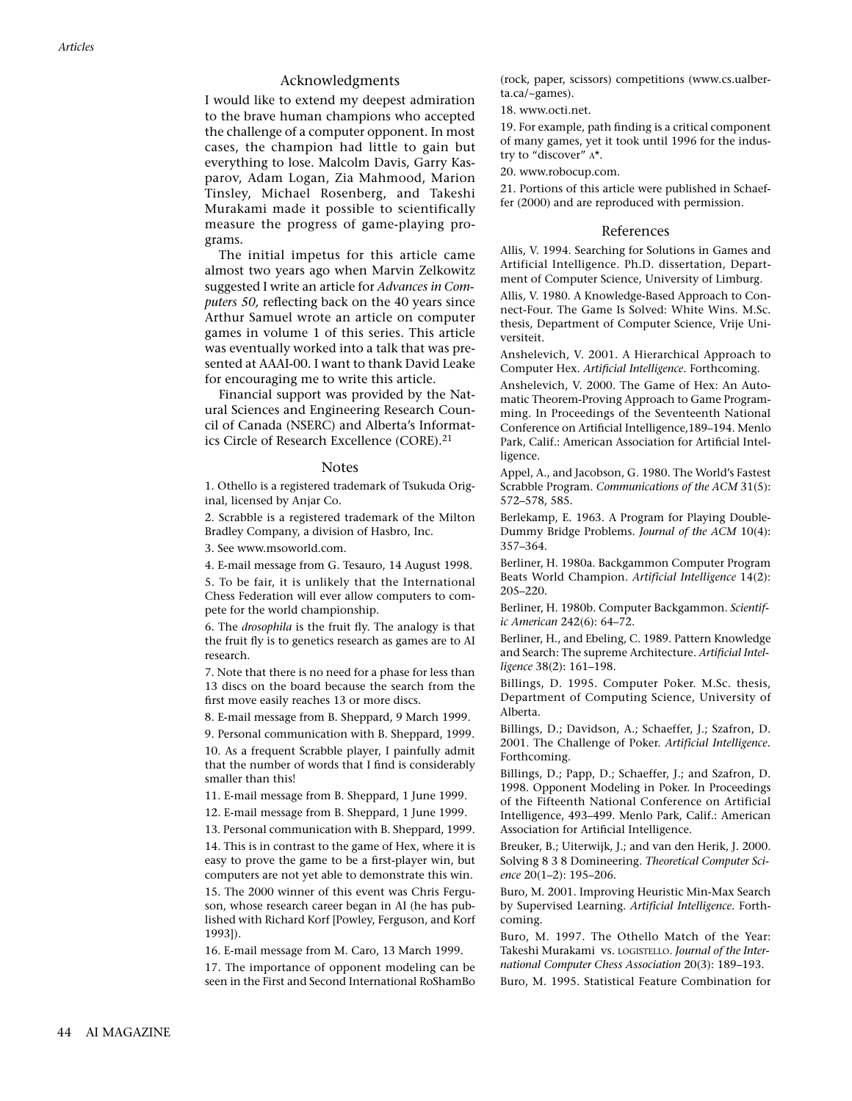#### Acknowledgments

I would like to extend my deepest admiration to the brave human champions who accepted the challenge of a computer opponent. In most cases, the champion had little to gain but everything to lose. Malcolm Davis, Garry Kasparov, Adam Logan, Zia Mahmood, Marion Tinsley, Michael Rosenberg, and Takeshi Murakami made it possible to scientifically measure the progress of game-playing programs.

The initial impetus for this article came almost two years ago when Marvin Zelkowitz suggested I write an article for *Advances in Computers 50,* reflecting back on the 40 years since Arthur Samuel wrote an article on computer games in volume 1 of this series. This article was eventually worked into a talk that was presented at AAAI-00. I want to thank David Leake for encouraging me to write this article.

Financial support was provided by the Natural Sciences and Engineering Research Council of Canada (NSERC) and Alberta's Informatics Circle of Research Excellence (CORE).21

#### Notes

1. Othello is a registered trademark of Tsukuda Original, licensed by Anjar Co.

2. Scrabble is a registered trademark of the Milton Bradley Company, a division of Hasbro, Inc.

3. See www.msoworld.com.

4. E-mail message from G. Tesauro, 14 August 1998.

5. To be fair, it is unlikely that the International Chess Federation will ever allow computers to compete for the world championship.

6. The *drosophila* is the fruit fly. The analogy is that the fruit fly is to genetics research as games are to AI research.

7. Note that there is no need for a phase for less than 13 discs on the board because the search from the first move easily reaches 13 or more discs.

8. E-mail message from B. Sheppard, 9 March 1999.

9. Personal communication with B. Sheppard, 1999.

10. As a frequent Scrabble player, I painfully admit that the number of words that I find is considerably smaller than this!

11. E-mail message from B. Sheppard, 1 June 1999.

12. E-mail message from B. Sheppard, 1 June 1999.

13. Personal communication with B. Sheppard, 1999.

14. This is in contrast to the game of Hex, where it is easy to prove the game to be a first-player win, but computers are not yet able to demonstrate this win.

15. The 2000 winner of this event was Chris Ferguson, whose research career began in AI (he has published with Richard Korf [Powley, Ferguson, and Korf 1993]).

16. E-mail message from M. Caro, 13 March 1999.

17. The importance of opponent modeling can be seen in the First and Second International RoShamBo (rock, paper, scissors) competitions (www.cs.ualberta.ca/~games).

18. www.octi.net.

19. For example, path finding is a critical component of many games, yet it took until 1996 for the industry to "discover" A\*.

20. www.robocup.com.

21. Portions of this article were published in Schaeffer (2000) and are reproduced with permission.

#### References

Allis, V. 1994. Searching for Solutions in Games and Artificial Intelligence. Ph.D. dissertation, Department of Computer Science, University of Limburg.

Allis, V. 1980. A Knowledge-Based Approach to Connect-Four. The Game Is Solved: White Wins. M.Sc. thesis, Department of Computer Science, Vrije Universiteit.

Anshelevich, V. 2001. A Hierarchical Approach to Computer Hex. *Artificial Intelligence.* Forthcoming.

Anshelevich, V. 2000. The Game of Hex: An Automatic Theorem-Proving Approach to Game Programming. In Proceedings of the Seventeenth National Conference on Artificial Intelligence,189–194. Menlo Park, Calif.: American Association for Artificial Intelligence.

Appel, A., and Jacobson, G. 1980. The World's Fastest Scrabble Program. *Communications of the ACM* 31(5): 572–578, 585.

Berlekamp, E. 1963. A Program for Playing Double-Dummy Bridge Problems. *Journal of the ACM* 10(4): 357–364.

Berliner, H. 1980a. Backgammon Computer Program Beats World Champion. *Artificial Intelligence* 14(2): 205–220.

Berliner, H. 1980b. Computer Backgammon. *Scientific American* 242(6): 64–72.

Berliner, H., and Ebeling, C. 1989. Pattern Knowledge and Search: The supreme Architecture. *Artificial Intelligence* 38(2): 161–198.

Billings, D. 1995. Computer Poker. M.Sc. thesis, Department of Computing Science, University of Alberta.

Billings, D.; Davidson, A.; Schaeffer, J.; Szafron, D. 2001. The Challenge of Poker. *Artificial Intelligence.* Forthcoming.

Billings, D.; Papp, D.; Schaeffer, J.; and Szafron, D. 1998. Opponent Modeling in Poker. In Proceedings of the Fifteenth National Conference on Artificial Intelligence, 493–499. Menlo Park, Calif.: American Association for Artificial Intelligence.

Breuker, B.; Uiterwijk, J.; and van den Herik, J. 2000. Solving 8 3 8 Domineering. *Theoretical Computer Science* 20(1–2): 195–206.

Buro, M. 2001. Improving Heuristic Min-Max Search by Supervised Learning. *Artificial Intelligence.* Forthcoming.

Buro, M. 1997. The Othello Match of the Year: Takeshi Murakami vs. LOGISTELLO. *Journal of the International Computer Chess Association* 20(3): 189–193.

Buro, M. 1995. Statistical Feature Combination for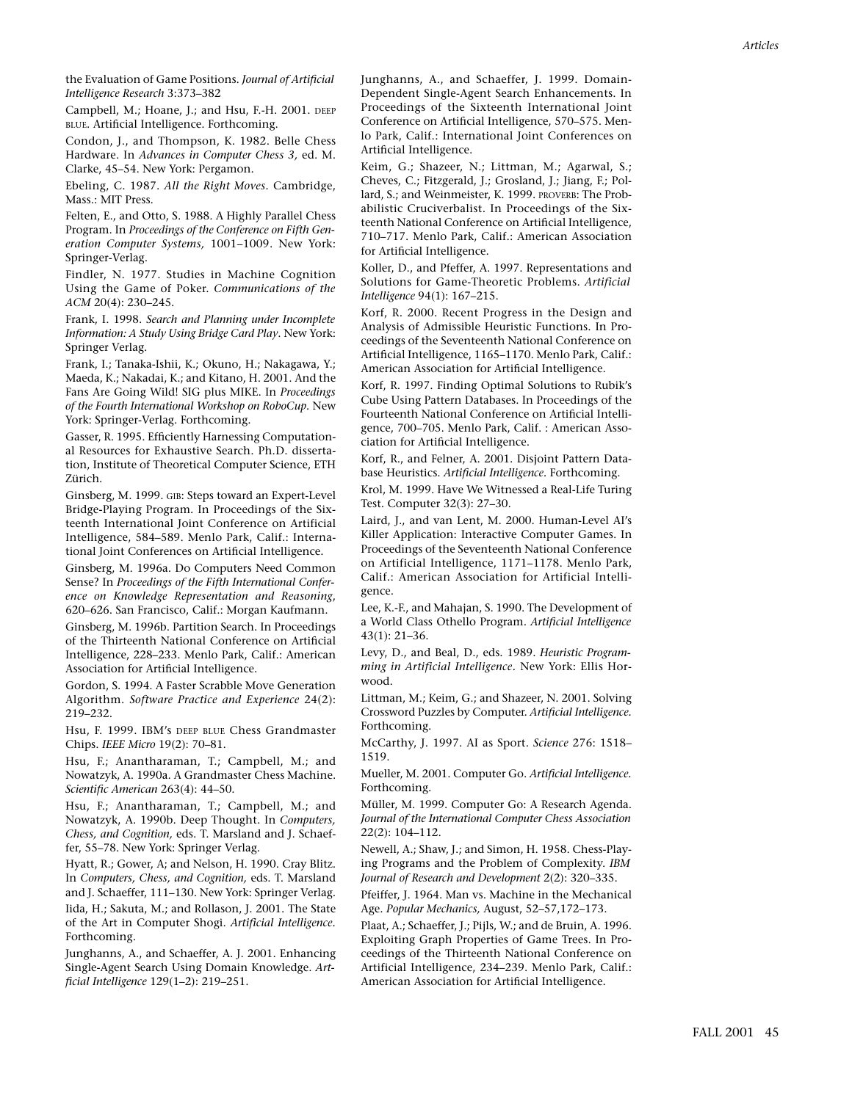the Evaluation of Game Positions. *Journal of Artificial Intelligence Research* 3:373–382

Campbell, M.; Hoane, J.; and Hsu, F.-H. 2001. DEEP BLUE. Artificial Intelligence. Forthcoming.

Condon, J., and Thompson, K. 1982. Belle Chess Hardware. In *Advances in Computer Chess 3,* ed. M. Clarke, 45–54. New York: Pergamon.

Ebeling, C. 1987. *All the Right Moves.* Cambridge, Mass.: MIT Press.

Felten, E., and Otto, S. 1988. A Highly Parallel Chess Program. In *Proceedings of the Conference on Fifth Generation Computer Systems,* 1001–1009. New York: Springer-Verlag.

Findler, N. 1977. Studies in Machine Cognition Using the Game of Poker. *Communications of the ACM* 20(4): 230–245.

Frank, I. 1998. *Search and Planning under Incomplete Information: A Study Using Bridge Card Play*. New York: Springer Verlag.

Frank, I.; Tanaka-Ishii, K.; Okuno, H.; Nakagawa, Y.; Maeda, K.; Nakadai, K.; and Kitano, H. 2001. And the Fans Are Going Wild! SIG plus MIKE. In *Proceedings of the Fourth International Workshop on RoboCup.* New York: Springer-Verlag. Forthcoming.

Gasser, R. 1995. Efficiently Harnessing Computational Resources for Exhaustive Search. Ph.D. dissertation, Institute of Theoretical Computer Science, ETH Zürich.

Ginsberg, M. 1999. GIB: Steps toward an Expert-Level Bridge-Playing Program. In Proceedings of the Sixteenth International Joint Conference on Artificial Intelligence, 584–589. Menlo Park, Calif.: International Joint Conferences on Artificial Intelligence.

Ginsberg, M. 1996a. Do Computers Need Common Sense? In *Proceedings of the Fifth International Conference on Knowledge Representation and Reasoning*, 620–626. San Francisco, Calif.: Morgan Kaufmann.

Ginsberg, M. 1996b. Partition Search. In Proceedings of the Thirteenth National Conference on Artificial Intelligence, 228–233. Menlo Park, Calif.: American Association for Artificial Intelligence.

Gordon, S. 1994. A Faster Scrabble Move Generation Algorithm. *Software Practice and Experience* 24(2): 219–232.

Hsu, F. 1999. IBM's DEEP BLUE Chess Grandmaster Chips. *IEEE Micro* 19(2): 70–81.

Hsu, F.; Anantharaman, T.; Campbell, M.; and Nowatzyk, A. 1990a. A Grandmaster Chess Machine. *Scientific American* 263(4): 44–50.

Hsu, F.; Anantharaman, T.; Campbell, M.; and Nowatzyk, A. 1990b. Deep Thought. In *Computers, Chess, and Cognition,* eds. T. Marsland and J. Schaeffer, 55–78. New York: Springer Verlag.

Hyatt, R.; Gower, A; and Nelson, H. 1990. Cray Blitz. In *Computers, Chess, and Cognition,* eds. T. Marsland and J. Schaeffer, 111–130. New York: Springer Verlag. Iida, H.; Sakuta, M.; and Rollason, J. 2001. The State of the Art in Computer Shogi. *Artificial Intelligence.* Forthcoming.

Junghanns, A., and Schaeffer, A. J. 2001. Enhancing Single-Agent Search Using Domain Knowledge. *Artficial Intelligence* 129(1–2): 219–251.

Junghanns, A., and Schaeffer, J. 1999. Domain-Dependent Single-Agent Search Enhancements. In Proceedings of the Sixteenth International Joint Conference on Artificial Intelligence, 570–575. Menlo Park, Calif.: International Joint Conferences on Artificial Intelligence.

Keim, G.; Shazeer, N.; Littman, M.; Agarwal, S.; Cheves, C.; Fitzgerald, J.; Grosland, J.; Jiang, F.; Pollard, S.; and Weinmeister, K. 1999. PROVERB: The Probabilistic Cruciverbalist. In Proceedings of the Sixteenth National Conference on Artificial Intelligence, 710–717. Menlo Park, Calif.: American Association for Artificial Intelligence.

Koller, D., and Pfeffer, A. 1997. Representations and Solutions for Game-Theoretic Problems. *Artificial Intelligence* 94(1): 167–215.

Korf, R. 2000. Recent Progress in the Design and Analysis of Admissible Heuristic Functions. In Proceedings of the Seventeenth National Conference on Artificial Intelligence, 1165–1170. Menlo Park, Calif.: American Association for Artificial Intelligence.

Korf, R. 1997. Finding Optimal Solutions to Rubik's Cube Using Pattern Databases. In Proceedings of the Fourteenth National Conference on Artificial Intelligence, 700–705. Menlo Park, Calif. : American Association for Artificial Intelligence.

Korf, R., and Felner, A. 2001. Disjoint Pattern Database Heuristics. *Artificial Intelligence.* Forthcoming.

Krol, M. 1999. Have We Witnessed a Real-Life Turing Test. Computer 32(3): 27–30.

Laird, J., and van Lent, M. 2000. Human-Level AI's Killer Application: Interactive Computer Games. In Proceedings of the Seventeenth National Conference on Artificial Intelligence, 1171–1178. Menlo Park, Calif.: American Association for Artificial Intelligence.

Lee, K.-F., and Mahajan, S. 1990. The Development of a World Class Othello Program. *Artificial Intelligence* 43(1): 21–36.

Levy, D., and Beal, D., eds. 1989. *Heuristic Programming in Artificial Intelligence.* New York: Ellis Horwood.

Littman, M.; Keim, G.; and Shazeer, N. 2001. Solving Crossword Puzzles by Computer. *Artificial Intelligence.* Forthcoming.

McCarthy, J. 1997. AI as Sport. *Science* 276: 1518– 1519.

Mueller, M. 2001. Computer Go. *Artificial Intelligence.* Forthcoming.

Müller, M. 1999. Computer Go: A Research Agenda. *Journal of the International Computer Chess Association* 22(2): 104–112.

Newell, A.; Shaw, J.; and Simon, H. 1958. Chess-Playing Programs and the Problem of Complexity. *IBM Journal of Research and Development* 2(2): 320–335.

Pfeiffer, J. 1964. Man vs. Machine in the Mechanical Age. *Popular Mechanics,* August, 52–57,172–173.

Plaat, A.; Schaeffer, J.; Pijls, W.; and de Bruin, A. 1996. Exploiting Graph Properties of Game Trees. In Proceedings of the Thirteenth National Conference on Artificial Intelligence, 234–239. Menlo Park, Calif.: American Association for Artificial Intelligence.